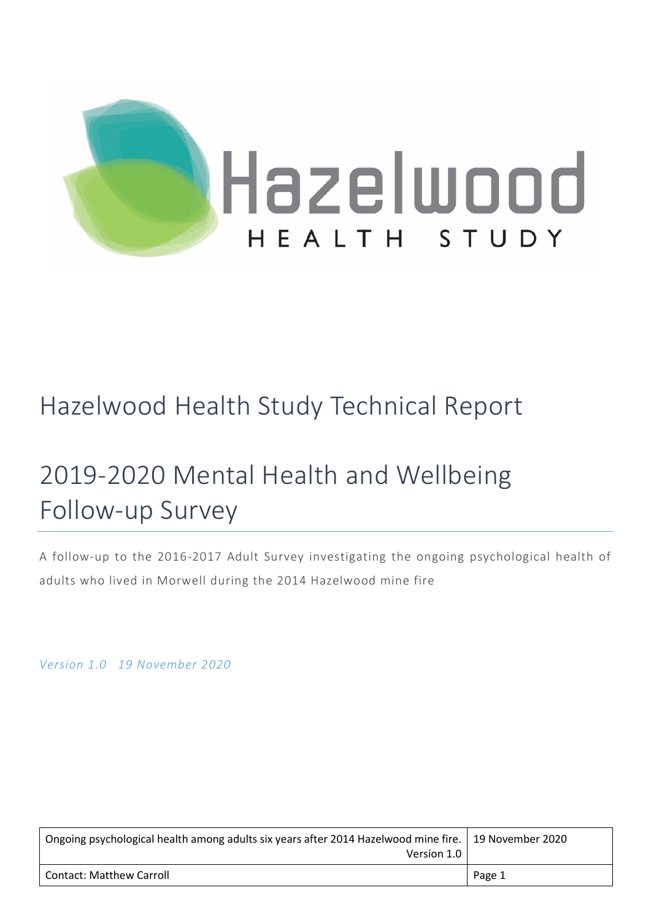

# Hazelwood Health Study Technical Report

# 2019-2020 Mental Health and Wellbeing Follow-up Survey

A follow-up to the 2016-2017 Adult Survey investigating the ongoing psychological health of adults who lived in Morwell during the 2014 Hazelwood mine fire

*Version 1.0 19 November 2020*

| Ongoing psychological health among adults six years after 2014 Hazelwood mine fire.   19 November 2020 [ |        |
|----------------------------------------------------------------------------------------------------------|--------|
| Version 1.0                                                                                              |        |
| <b>Contact: Matthew Carroll</b>                                                                          | Page 1 |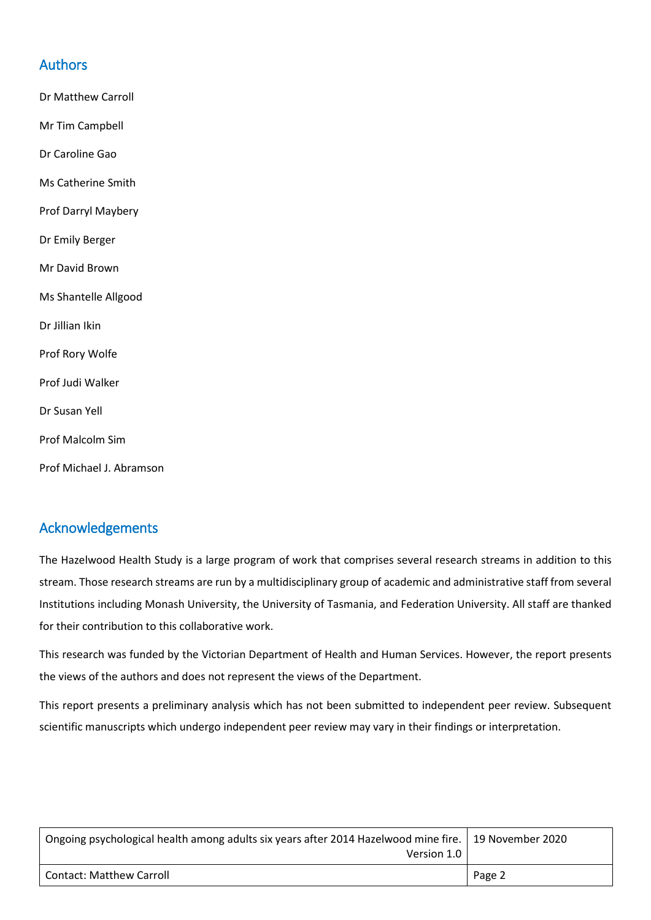## Authors

Dr Matthew Carroll Mr Tim Campbell Dr Caroline Gao Ms Catherine Smith Prof Darryl Maybery Dr Emily Berger Mr David Brown Ms Shantelle Allgood Dr Jillian Ikin Prof Rory Wolfe Prof Judi Walker Dr Susan Yell Prof Malcolm Sim Prof Michael J. Abramson

## Acknowledgements

The Hazelwood Health Study is a large program of work that comprises several research streams in addition to this stream. Those research streams are run by a multidisciplinary group of academic and administrative staff from several Institutions including Monash University, the University of Tasmania, and Federation University. All staff are thanked for their contribution to this collaborative work.

This research was funded by the Victorian Department of Health and Human Services. However, the report presents the views of the authors and does not represent the views of the Department.

This report presents a preliminary analysis which has not been submitted to independent peer review. Subsequent scientific manuscripts which undergo independent peer review may vary in their findings or interpretation.

| Ongoing psychological health among adults six years after 2014 Hazelwood mine fire. 19 November 2020 |        |
|------------------------------------------------------------------------------------------------------|--------|
| Version 1.0                                                                                          |        |
| <b>Contact: Matthew Carroll</b>                                                                      | Page 2 |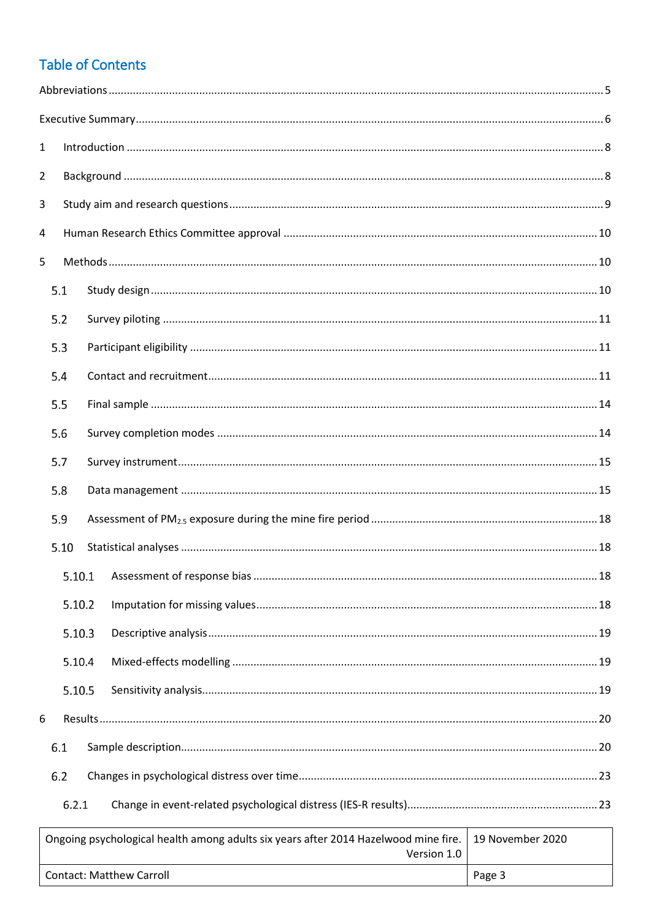# **Table of Contents**

| $\mathbf{1}$   | $\label{lem:1} \mbox{Introduction} \,\, \ldots \,\, \ldots \,\, \ldots \,\, \ldots \,\, \ldots \,\, \ldots \,\, \ldots \,\, \ldots \,\, \ldots \,\, \ldots \,\, \ldots \,\, \ldots \,\, \ldots \,\, \ldots \,\, \ldots \,\, \ldots \,\, \ldots \,\, \ldots \,\, \ldots \,\, \ldots \,\, \ldots \,\, \ldots \,\, \ldots \,\, \ldots \,\, \ldots \,\, \ldots \,\, \ldots \,\, \ldots \,\, \ldots \,\, \ldots \,\, \ldots \,\, \ldots \,\, \ldots \,\, \ldots \,\,$ |  |                                                                                                    |                  |
|----------------|------------------------------------------------------------------------------------------------------------------------------------------------------------------------------------------------------------------------------------------------------------------------------------------------------------------------------------------------------------------------------------------------------------------------------------------------------------------|--|----------------------------------------------------------------------------------------------------|------------------|
| $\overline{2}$ |                                                                                                                                                                                                                                                                                                                                                                                                                                                                  |  |                                                                                                    |                  |
| 3              |                                                                                                                                                                                                                                                                                                                                                                                                                                                                  |  |                                                                                                    |                  |
| 4              |                                                                                                                                                                                                                                                                                                                                                                                                                                                                  |  |                                                                                                    |                  |
| 5              |                                                                                                                                                                                                                                                                                                                                                                                                                                                                  |  |                                                                                                    |                  |
|                | 5.1                                                                                                                                                                                                                                                                                                                                                                                                                                                              |  |                                                                                                    |                  |
|                | 5.2                                                                                                                                                                                                                                                                                                                                                                                                                                                              |  |                                                                                                    |                  |
|                | 5.3                                                                                                                                                                                                                                                                                                                                                                                                                                                              |  |                                                                                                    |                  |
|                | 5.4                                                                                                                                                                                                                                                                                                                                                                                                                                                              |  |                                                                                                    |                  |
|                | 5.5                                                                                                                                                                                                                                                                                                                                                                                                                                                              |  |                                                                                                    |                  |
|                | 5.6                                                                                                                                                                                                                                                                                                                                                                                                                                                              |  |                                                                                                    |                  |
|                | 5.7                                                                                                                                                                                                                                                                                                                                                                                                                                                              |  |                                                                                                    |                  |
|                | 5.8                                                                                                                                                                                                                                                                                                                                                                                                                                                              |  |                                                                                                    |                  |
|                | 5.9                                                                                                                                                                                                                                                                                                                                                                                                                                                              |  |                                                                                                    |                  |
|                |                                                                                                                                                                                                                                                                                                                                                                                                                                                                  |  |                                                                                                    |                  |
|                | 5.10                                                                                                                                                                                                                                                                                                                                                                                                                                                             |  |                                                                                                    |                  |
|                |                                                                                                                                                                                                                                                                                                                                                                                                                                                                  |  |                                                                                                    |                  |
|                | 5.10.2                                                                                                                                                                                                                                                                                                                                                                                                                                                           |  |                                                                                                    |                  |
|                | 5.10.3                                                                                                                                                                                                                                                                                                                                                                                                                                                           |  |                                                                                                    |                  |
|                | 5.10.4                                                                                                                                                                                                                                                                                                                                                                                                                                                           |  |                                                                                                    |                  |
|                | 5.10.5                                                                                                                                                                                                                                                                                                                                                                                                                                                           |  |                                                                                                    |                  |
| 6              |                                                                                                                                                                                                                                                                                                                                                                                                                                                                  |  |                                                                                                    |                  |
|                | 6.1                                                                                                                                                                                                                                                                                                                                                                                                                                                              |  |                                                                                                    |                  |
|                | 6.2                                                                                                                                                                                                                                                                                                                                                                                                                                                              |  |                                                                                                    |                  |
|                | 6.2.1                                                                                                                                                                                                                                                                                                                                                                                                                                                            |  |                                                                                                    |                  |
|                |                                                                                                                                                                                                                                                                                                                                                                                                                                                                  |  | Ongoing psychological health among adults six years after 2014 Hazelwood mine fire.<br>Version 1.0 | 19 November 2020 |

Page 3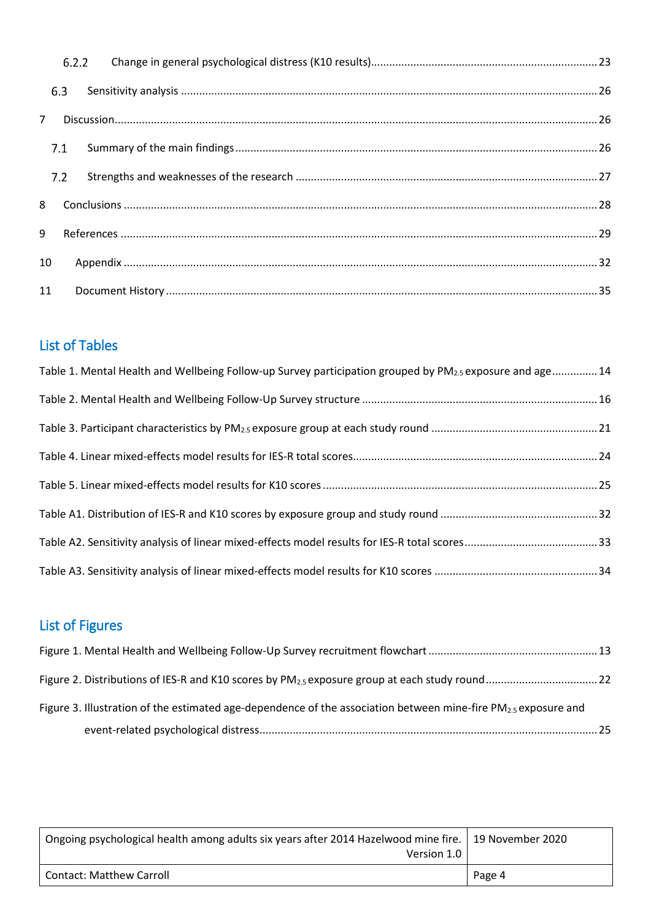|    | 7.1 |  |  |
|----|-----|--|--|
|    |     |  |  |
|    |     |  |  |
|    |     |  |  |
| 10 |     |  |  |
|    |     |  |  |

# List of Tables

| Table 1. Mental Health and Wellbeing Follow-up Survey participation grouped by PM <sub>2.5</sub> exposure and age14 |  |
|---------------------------------------------------------------------------------------------------------------------|--|
|                                                                                                                     |  |
|                                                                                                                     |  |
|                                                                                                                     |  |
|                                                                                                                     |  |
|                                                                                                                     |  |
|                                                                                                                     |  |
|                                                                                                                     |  |

# List of Figures

| Figure 3. Illustration of the estimated age-dependence of the association between mine-fire PM <sub>2.5</sub> exposure and |  |
|----------------------------------------------------------------------------------------------------------------------------|--|
|                                                                                                                            |  |

| Ongoing psychological health among adults six years after 2014 Hazelwood mine fire. 19 November 2020<br>Version 1.0 |        |
|---------------------------------------------------------------------------------------------------------------------|--------|
| <b>Contact: Matthew Carroll</b>                                                                                     | Page 4 |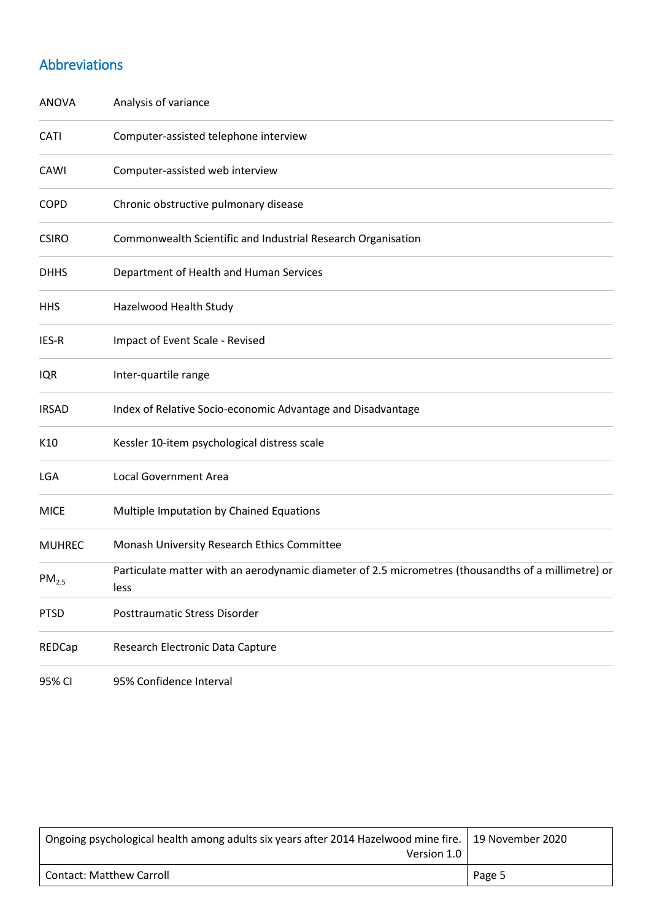# <span id="page-4-0"></span>Abbreviations

| <b>ANOVA</b>      | Analysis of variance                                                                                        |
|-------------------|-------------------------------------------------------------------------------------------------------------|
| CATI              | Computer-assisted telephone interview                                                                       |
| CAWI              | Computer-assisted web interview                                                                             |
| <b>COPD</b>       | Chronic obstructive pulmonary disease                                                                       |
| <b>CSIRO</b>      | Commonwealth Scientific and Industrial Research Organisation                                                |
| <b>DHHS</b>       | Department of Health and Human Services                                                                     |
| <b>HHS</b>        | Hazelwood Health Study                                                                                      |
| IES-R             | Impact of Event Scale - Revised                                                                             |
| <b>IQR</b>        | Inter-quartile range                                                                                        |
| <b>IRSAD</b>      | Index of Relative Socio-economic Advantage and Disadvantage                                                 |
| K10               | Kessler 10-item psychological distress scale                                                                |
| LGA               | <b>Local Government Area</b>                                                                                |
| <b>MICE</b>       | Multiple Imputation by Chained Equations                                                                    |
| <b>MUHREC</b>     | Monash University Research Ethics Committee                                                                 |
| PM <sub>2.5</sub> | Particulate matter with an aerodynamic diameter of 2.5 micrometres (thousandths of a millimetre) or<br>less |
| <b>PTSD</b>       | Posttraumatic Stress Disorder                                                                               |
| REDCap            | Research Electronic Data Capture                                                                            |
| 95% CI            | 95% Confidence Interval                                                                                     |

| Ongoing psychological health among adults six years after 2014 Hazelwood mine fire. 19 November 2020<br>Version 1.0 |        |
|---------------------------------------------------------------------------------------------------------------------|--------|
| <b>Contact: Matthew Carroll</b>                                                                                     | Page 5 |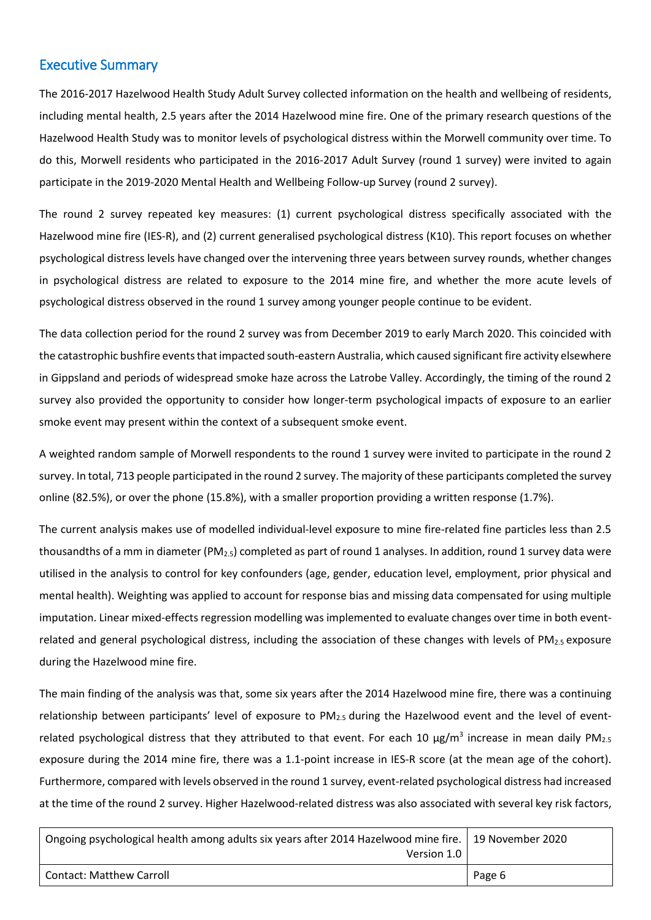### <span id="page-5-0"></span>Executive Summary

The 2016-2017 Hazelwood Health Study Adult Survey collected information on the health and wellbeing of residents, including mental health, 2.5 years after the 2014 Hazelwood mine fire. One of the primary research questions of the Hazelwood Health Study was to monitor levels of psychological distress within the Morwell community over time. To do this, Morwell residents who participated in the 2016-2017 Adult Survey (round 1 survey) were invited to again participate in the 2019-2020 Mental Health and Wellbeing Follow-up Survey (round 2 survey).

The round 2 survey repeated key measures: (1) current psychological distress specifically associated with the Hazelwood mine fire (IES-R), and (2) current generalised psychological distress (K10). This report focuses on whether psychological distress levels have changed over the intervening three years between survey rounds, whether changes in psychological distress are related to exposure to the 2014 mine fire, and whether the more acute levels of psychological distress observed in the round 1 survey among younger people continue to be evident.

The data collection period for the round 2 survey was from December 2019 to early March 2020. This coincided with the catastrophic bushfire events that impacted south-eastern Australia, which caused significant fire activity elsewhere in Gippsland and periods of widespread smoke haze across the Latrobe Valley. Accordingly, the timing of the round 2 survey also provided the opportunity to consider how longer-term psychological impacts of exposure to an earlier smoke event may present within the context of a subsequent smoke event.

A weighted random sample of Morwell respondents to the round 1 survey were invited to participate in the round 2 survey. In total, 713 people participated in the round 2 survey. The majority of these participants completed the survey online (82.5%), or over the phone (15.8%), with a smaller proportion providing a written response (1.7%).

The current analysis makes use of modelled individual-level exposure to mine fire-related fine particles less than 2.5 thousandths of a mm in diameter (PM<sub>2.5</sub>) completed as part of round 1 analyses. In addition, round 1 survey data were utilised in the analysis to control for key confounders (age, gender, education level, employment, prior physical and mental health). Weighting was applied to account for response bias and missing data compensated for using multiple imputation. Linear mixed-effects regression modelling was implemented to evaluate changes over time in both eventrelated and general psychological distress, including the association of these changes with levels of  $PM_{2.5}$  exposure during the Hazelwood mine fire.

The main finding of the analysis was that, some six years after the 2014 Hazelwood mine fire, there was a continuing relationship between participants' level of exposure to PM<sub>2.5</sub> during the Hazelwood event and the level of eventrelated psychological distress that they attributed to that event. For each 10  $\mu$ g/m<sup>3</sup> increase in mean daily PM<sub>2.5</sub> exposure during the 2014 mine fire, there was a 1.1-point increase in IES-R score (at the mean age of the cohort). Furthermore, compared with levels observed in the round 1 survey, event-related psychological distress had increased at the time of the round 2 survey. Higher Hazelwood-related distress was also associated with several key risk factors,

| Ongoing psychological health among adults six years after 2014 Hazelwood mine fire.   19 November 2020 |        |
|--------------------------------------------------------------------------------------------------------|--------|
| Version 1.0                                                                                            |        |
| Contact: Matthew Carroll                                                                               | Page 6 |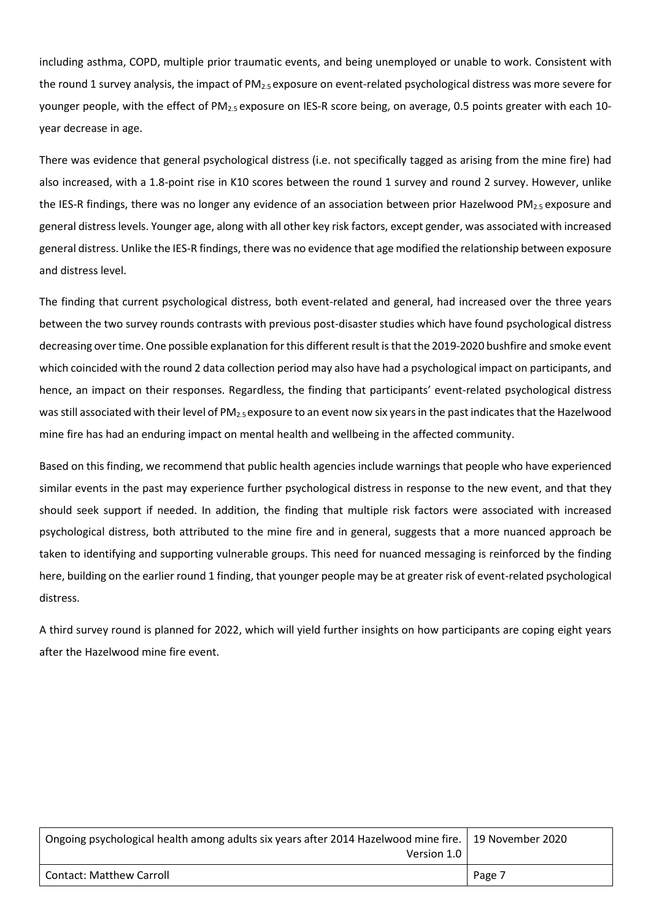including asthma, COPD, multiple prior traumatic events, and being unemployed or unable to work. Consistent with the round 1 survey analysis, the impact of PM<sub>2.5</sub> exposure on event-related psychological distress was more severe for younger people, with the effect of PM<sub>2.5</sub> exposure on IES-R score being, on average, 0.5 points greater with each 10year decrease in age.

There was evidence that general psychological distress (i.e. not specifically tagged as arising from the mine fire) had also increased, with a 1.8-point rise in K10 scores between the round 1 survey and round 2 survey. However, unlike the IES-R findings, there was no longer any evidence of an association between prior Hazelwood PM $_{2.5}$  exposure and general distress levels. Younger age, along with all other key risk factors, except gender, was associated with increased general distress. Unlike the IES-R findings, there was no evidence that age modified the relationship between exposure and distress level.

The finding that current psychological distress, both event-related and general, had increased over the three years between the two survey rounds contrasts with previous post-disaster studies which have found psychological distress decreasing over time. One possible explanation for this different result is that the 2019-2020 bushfire and smoke event which coincided with the round 2 data collection period may also have had a psychological impact on participants, and hence, an impact on their responses. Regardless, the finding that participants' event-related psychological distress was still associated with their level of PM<sub>2.5</sub> exposure to an event now six years in the past indicates that the Hazelwood mine fire has had an enduring impact on mental health and wellbeing in the affected community.

Based on this finding, we recommend that public health agencies include warnings that people who have experienced similar events in the past may experience further psychological distress in response to the new event, and that they should seek support if needed. In addition, the finding that multiple risk factors were associated with increased psychological distress, both attributed to the mine fire and in general, suggests that a more nuanced approach be taken to identifying and supporting vulnerable groups. This need for nuanced messaging is reinforced by the finding here, building on the earlier round 1 finding, that younger people may be at greater risk of event-related psychological distress.

A third survey round is planned for 2022, which will yield further insights on how participants are coping eight years after the Hazelwood mine fire event.

| Ongoing psychological health among adults six years after 2014 Hazelwood mine fire. 19 November 2020<br>Version 1.0 |        |
|---------------------------------------------------------------------------------------------------------------------|--------|
|                                                                                                                     |        |
| <b>Contact: Matthew Carroll</b>                                                                                     | Page 7 |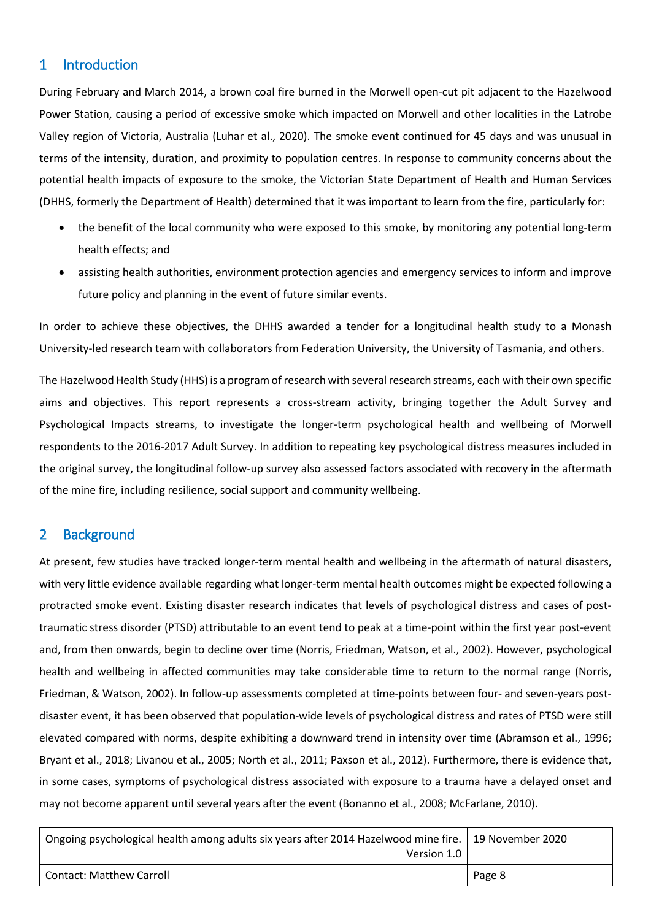### <span id="page-7-0"></span>1 Introduction

During February and March 2014, a brown coal fire burned in the Morwell open-cut pit adjacent to the Hazelwood Power Station, causing a period of excessive smoke which impacted on Morwell and other localities in the Latrobe Valley region of Victoria, Australia (Luhar et al., 2020). The smoke event continued for 45 days and was unusual in terms of the intensity, duration, and proximity to population centres. In response to community concerns about the potential health impacts of exposure to the smoke, the Victorian State Department of Health and Human Services (DHHS, formerly the Department of Health) determined that it was important to learn from the fire, particularly for:

- the benefit of the local community who were exposed to this smoke, by monitoring any potential long-term health effects; and
- assisting health authorities, environment protection agencies and emergency services to inform and improve future policy and planning in the event of future similar events.

In order to achieve these objectives, the DHHS awarded a tender for a longitudinal health study to a Monash University-led research team with collaborators from Federation University, the University of Tasmania, and others.

The Hazelwood Health Study (HHS) is a program of research with several research streams, each with their own specific aims and objectives. This report represents a cross-stream activity, bringing together the Adult Survey and Psychological Impacts streams, to investigate the longer-term psychological health and wellbeing of Morwell respondents to the 2016-2017 Adult Survey. In addition to repeating key psychological distress measures included in the original survey, the longitudinal follow-up survey also assessed factors associated with recovery in the aftermath of the mine fire, including resilience, social support and community wellbeing.

### <span id="page-7-1"></span>2 Background

At present, few studies have tracked longer-term mental health and wellbeing in the aftermath of natural disasters, with very little evidence available regarding what longer-term mental health outcomes might be expected following a protracted smoke event. Existing disaster research indicates that levels of psychological distress and cases of posttraumatic stress disorder (PTSD) attributable to an event tend to peak at a time-point within the first year post-event and, from then onwards, begin to decline over time (Norris, Friedman, Watson, et al., 2002). However, psychological health and wellbeing in affected communities may take considerable time to return to the normal range (Norris, Friedman, & Watson, 2002). In follow-up assessments completed at time-points between four- and seven-years postdisaster event, it has been observed that population-wide levels of psychological distress and rates of PTSD were still elevated compared with norms, despite exhibiting a downward trend in intensity over time (Abramson et al., 1996; Bryant et al., 2018; Livanou et al., 2005; North et al., 2011; Paxson et al., 2012). Furthermore, there is evidence that, in some cases, symptoms of psychological distress associated with exposure to a trauma have a delayed onset and may not become apparent until several years after the event (Bonanno et al., 2008; McFarlane, 2010).

| Ongoing psychological health among adults six years after 2014 Hazelwood mine fire. 19 November 2020 |        |
|------------------------------------------------------------------------------------------------------|--------|
| Version 1.0                                                                                          |        |
| <b>Contact: Matthew Carroll</b>                                                                      | Page 8 |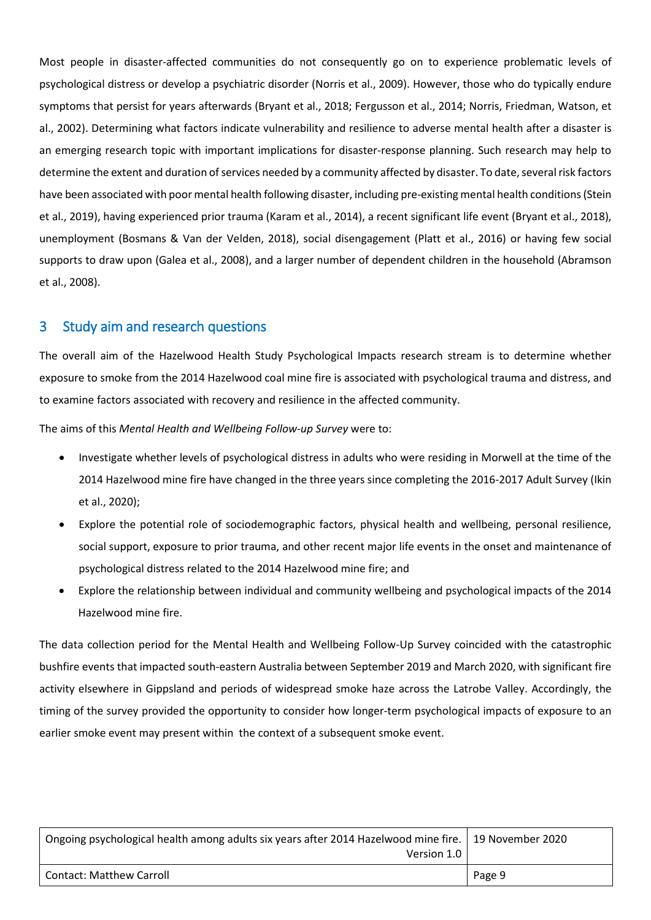Most people in disaster-affected communities do not consequently go on to experience problematic levels of psychological distress or develop a psychiatric disorder (Norris et al., 2009). However, those who do typically endure symptoms that persist for years afterwards (Bryant et al., 2018; Fergusson et al., 2014; Norris, Friedman, Watson, et al., 2002). Determining what factors indicate vulnerability and resilience to adverse mental health after a disaster is an emerging research topic with important implications for disaster-response planning. Such research may help to determine the extent and duration of services needed by a community affected by disaster. To date, several risk factors have been associated with poor mental health following disaster, including pre-existing mental health conditions (Stein et al., 2019), having experienced prior trauma (Karam et al., 2014), a recent significant life event (Bryant et al., 2018), unemployment (Bosmans & Van der Velden, 2018), social disengagement (Platt et al., 2016) or having few social supports to draw upon (Galea et al., 2008), and a larger number of dependent children in the household (Abramson et al., 2008).

### <span id="page-8-0"></span>3 Study aim and research questions

The overall aim of the Hazelwood Health Study Psychological Impacts research stream is to determine whether exposure to smoke from the 2014 Hazelwood coal mine fire is associated with psychological trauma and distress, and to examine factors associated with recovery and resilience in the affected community.

The aims of this *Mental Health and Wellbeing Follow-up Survey* were to:

- Investigate whether levels of psychological distress in adults who were residing in Morwell at the time of the 2014 Hazelwood mine fire have changed in the three years since completing the 2016-2017 Adult Survey (Ikin et al., 2020);
- Explore the potential role of sociodemographic factors, physical health and wellbeing, personal resilience, social support, exposure to prior trauma, and other recent major life events in the onset and maintenance of psychological distress related to the 2014 Hazelwood mine fire; and
- Explore the relationship between individual and community wellbeing and psychological impacts of the 2014 Hazelwood mine fire.

The data collection period for the Mental Health and Wellbeing Follow-Up Survey coincided with the catastrophic bushfire events that impacted south-eastern Australia between September 2019 and March 2020, with significant fire activity elsewhere in Gippsland and periods of widespread smoke haze across the Latrobe Valley. Accordingly, the timing of the survey provided the opportunity to consider how longer-term psychological impacts of exposure to an earlier smoke event may present within the context of a subsequent smoke event.

| Ongoing psychological health among adults six years after 2014 Hazelwood mine fire. 19 November 2020<br>Version 1.0 |        |
|---------------------------------------------------------------------------------------------------------------------|--------|
| <b>Contact: Matthew Carroll</b>                                                                                     | Page 9 |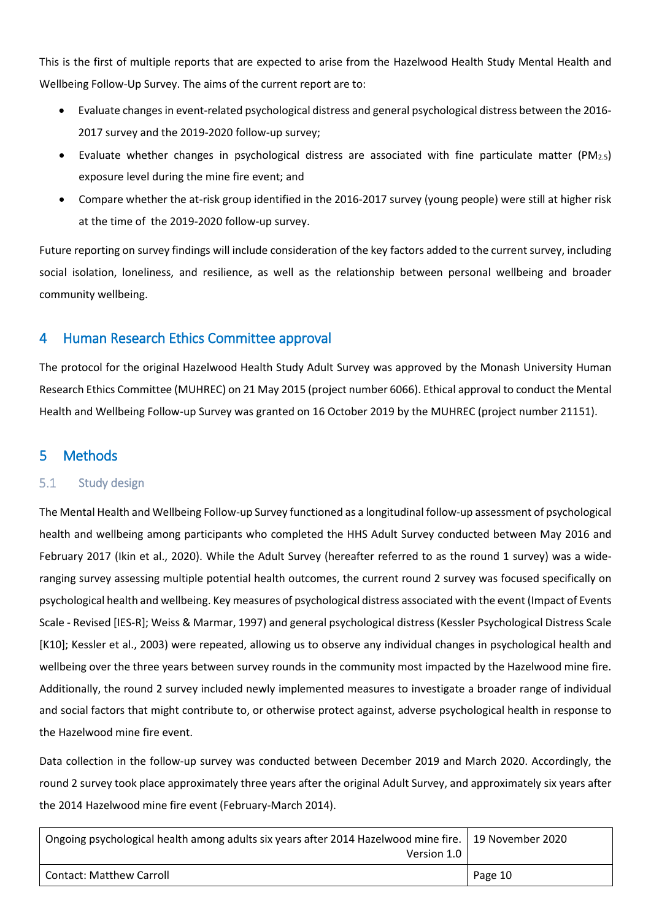This is the first of multiple reports that are expected to arise from the Hazelwood Health Study Mental Health and Wellbeing Follow-Up Survey. The aims of the current report are to:

- Evaluate changes in event-related psychological distress and general psychological distress between the 2016- 2017 survey and the 2019-2020 follow-up survey;
- Evaluate whether changes in psychological distress are associated with fine particulate matter (PM<sub>2.5</sub>) exposure level during the mine fire event; and
- Compare whether the at-risk group identified in the 2016-2017 survey (young people) were still at higher risk at the time of the 2019-2020 follow-up survey.

Future reporting on survey findings will include consideration of the key factors added to the current survey, including social isolation, loneliness, and resilience, as well as the relationship between personal wellbeing and broader community wellbeing.

### <span id="page-9-0"></span>4 Human Research Ethics Committee approval

The protocol for the original Hazelwood Health Study Adult Survey was approved by the Monash University Human Research Ethics Committee (MUHREC) on 21 May 2015 (project number 6066). Ethical approval to conduct the Mental Health and Wellbeing Follow-up Survey was granted on 16 October 2019 by the MUHREC (project number 21151).

### <span id="page-9-1"></span>5 Methods

#### <span id="page-9-2"></span> $5.1$ Study design

The Mental Health and Wellbeing Follow-up Survey functioned as a longitudinal follow-up assessment of psychological health and wellbeing among participants who completed the HHS Adult Survey conducted between May 2016 and February 2017 (Ikin et al., 2020). While the Adult Survey (hereafter referred to as the round 1 survey) was a wideranging survey assessing multiple potential health outcomes, the current round 2 survey was focused specifically on psychological health and wellbeing. Key measures of psychological distress associated with the event (Impact of Events Scale - Revised [IES-R]; Weiss & Marmar, 1997) and general psychological distress (Kessler Psychological Distress Scale [K10]; Kessler et al., 2003) were repeated, allowing us to observe any individual changes in psychological health and wellbeing over the three years between survey rounds in the community most impacted by the Hazelwood mine fire. Additionally, the round 2 survey included newly implemented measures to investigate a broader range of individual and social factors that might contribute to, or otherwise protect against, adverse psychological health in response to the Hazelwood mine fire event.

Data collection in the follow-up survey was conducted between December 2019 and March 2020. Accordingly, the round 2 survey took place approximately three years after the original Adult Survey, and approximately six years after the 2014 Hazelwood mine fire event (February-March 2014).

| Ongoing psychological health among adults six years after 2014 Hazelwood mine fire. 19 November 2020 |         |
|------------------------------------------------------------------------------------------------------|---------|
| Version 1.0                                                                                          |         |
| Contact: Matthew Carroll                                                                             | Page 10 |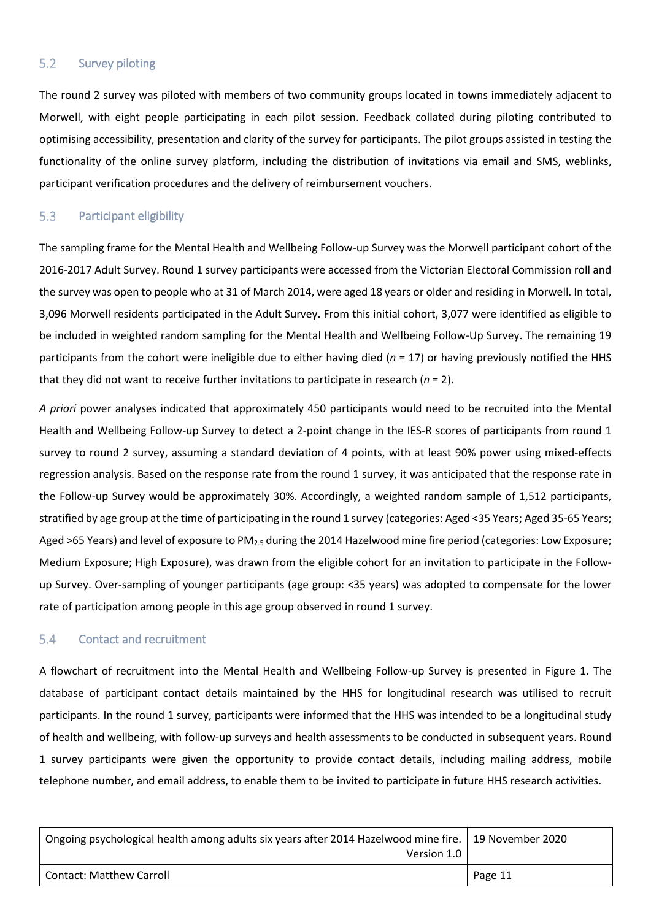#### <span id="page-10-0"></span> $5.2$ Survey piloting

The round 2 survey was piloted with members of two community groups located in towns immediately adjacent to Morwell, with eight people participating in each pilot session. Feedback collated during piloting contributed to optimising accessibility, presentation and clarity of the survey for participants. The pilot groups assisted in testing the functionality of the online survey platform, including the distribution of invitations via email and SMS, weblinks, participant verification procedures and the delivery of reimbursement vouchers.

#### <span id="page-10-1"></span> $5.3$ Participant eligibility

The sampling frame for the Mental Health and Wellbeing Follow-up Survey was the Morwell participant cohort of the 2016-2017 Adult Survey. Round 1 survey participants were accessed from the Victorian Electoral Commission roll and the survey was open to people who at 31 of March 2014, were aged 18 years or older and residing in Morwell. In total, 3,096 Morwell residents participated in the Adult Survey. From this initial cohort, 3,077 were identified as eligible to be included in weighted random sampling for the Mental Health and Wellbeing Follow-Up Survey. The remaining 19 participants from the cohort were ineligible due to either having died (*n* = 17) or having previously notified the HHS that they did not want to receive further invitations to participate in research  $(n = 2)$ .

*A priori* power analyses indicated that approximately 450 participants would need to be recruited into the Mental Health and Wellbeing Follow-up Survey to detect a 2-point change in the IES-R scores of participants from round 1 survey to round 2 survey, assuming a standard deviation of 4 points, with at least 90% power using mixed-effects regression analysis. Based on the response rate from the round 1 survey, it was anticipated that the response rate in the Follow-up Survey would be approximately 30%. Accordingly, a weighted random sample of 1,512 participants, stratified by age group at the time of participating in the round 1 survey (categories: Aged <35 Years; Aged 35-65 Years; Aged >65 Years) and level of exposure to PM<sub>2.5</sub> during the 2014 Hazelwood mine fire period (categories: Low Exposure; Medium Exposure; High Exposure), was drawn from the eligible cohort for an invitation to participate in the Followup Survey. Over-sampling of younger participants (age group: <35 years) was adopted to compensate for the lower rate of participation among people in this age group observed in round 1 survey.

#### <span id="page-10-2"></span> $5.4$ Contact and recruitment

A flowchart of recruitment into the Mental Health and Wellbeing Follow-up Survey is presented in Figure 1. The database of participant contact details maintained by the HHS for longitudinal research was utilised to recruit participants. In the round 1 survey, participants were informed that the HHS was intended to be a longitudinal study of health and wellbeing, with follow-up surveys and health assessments to be conducted in subsequent years. Round 1 survey participants were given the opportunity to provide contact details, including mailing address, mobile telephone number, and email address, to enable them to be invited to participate in future HHS research activities.

| Ongoing psychological health among adults six years after 2014 Hazelwood mine fire.   19 November 2020 |         |
|--------------------------------------------------------------------------------------------------------|---------|
| Version 1.0                                                                                            |         |
| Contact: Matthew Carroll                                                                               | Page 11 |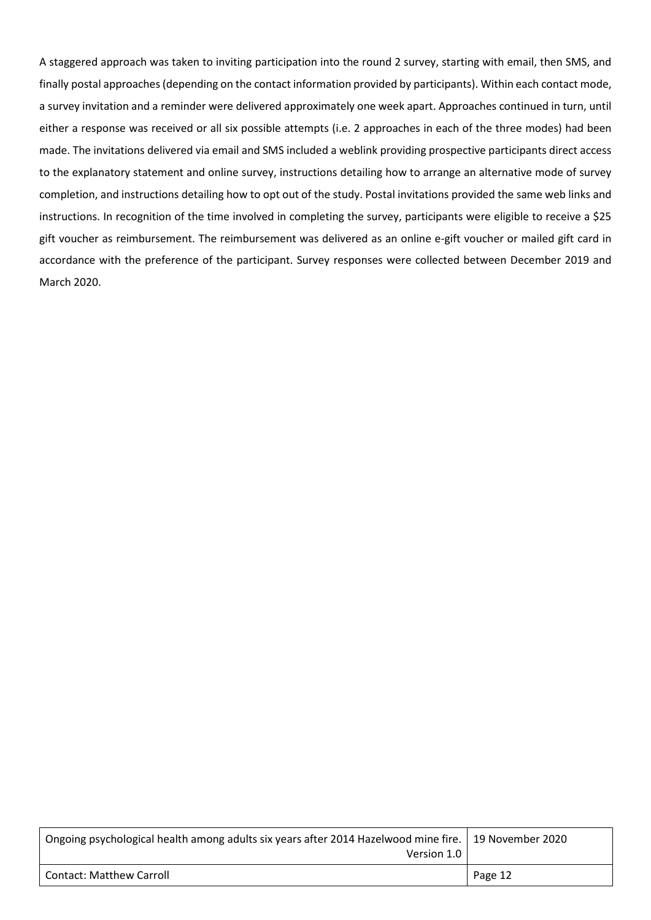A staggered approach was taken to inviting participation into the round 2 survey, starting with email, then SMS, and finally postal approaches (depending on the contact information provided by participants). Within each contact mode, a survey invitation and a reminder were delivered approximately one week apart. Approaches continued in turn, until either a response was received or all six possible attempts (i.e. 2 approaches in each of the three modes) had been made. The invitations delivered via email and SMS included a weblink providing prospective participants direct access to the explanatory statement and online survey, instructions detailing how to arrange an alternative mode of survey completion, and instructions detailing how to opt out of the study. Postal invitations provided the same web links and instructions. In recognition of the time involved in completing the survey, participants were eligible to receive a \$25 gift voucher as reimbursement. The reimbursement was delivered as an online e-gift voucher or mailed gift card in accordance with the preference of the participant. Survey responses were collected between December 2019 and March 2020.

| Ongoing psychological health among adults six years after 2014 Hazelwood mine fire.   19 November 2020<br>Version 1.0 |         |
|-----------------------------------------------------------------------------------------------------------------------|---------|
| <b>Contact: Matthew Carroll</b>                                                                                       | Page 12 |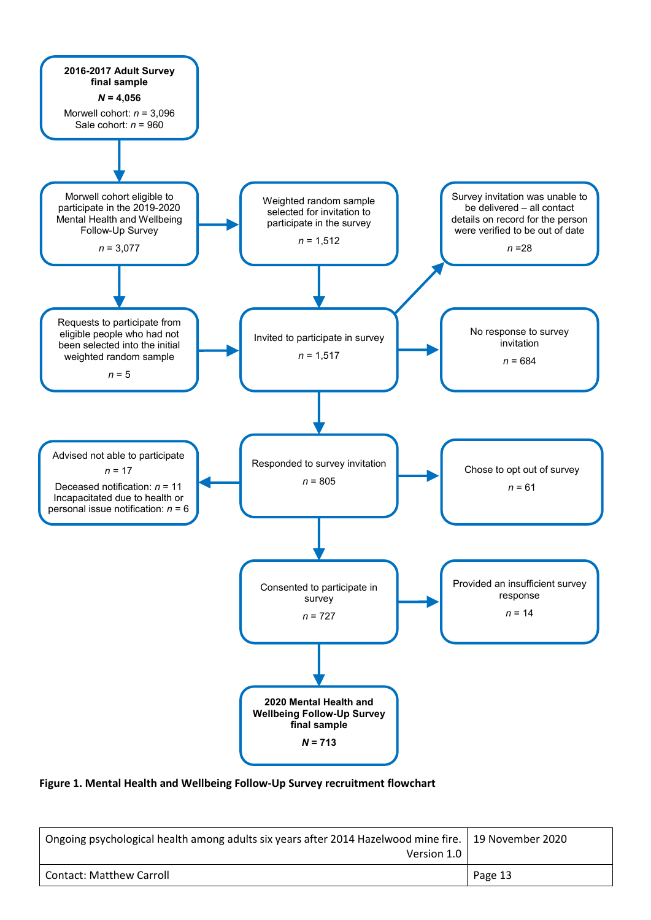

#### <span id="page-12-0"></span>**Figure 1. Mental Health and Wellbeing Follow-Up Survey recruitment flowchart**

| Ongoing psychological health among adults six years after 2014 Hazelwood mine fire.   19 November 2020<br>Version 1.0 |         |
|-----------------------------------------------------------------------------------------------------------------------|---------|
| <b>Contact: Matthew Carroll</b>                                                                                       | Page 13 |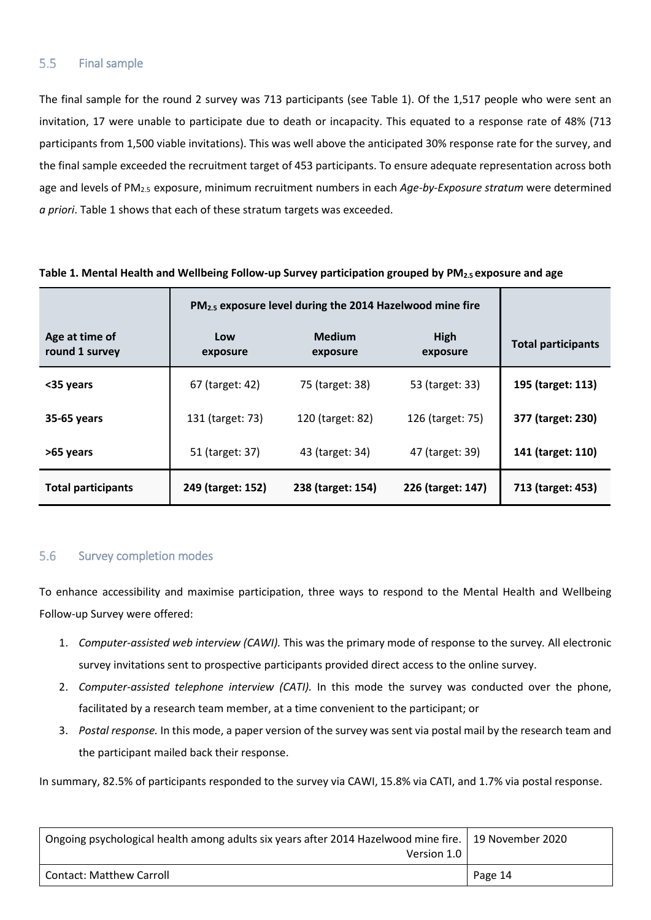#### <span id="page-13-0"></span> $5.5$ Final sample

The final sample for the round 2 survey was 713 participants (see Table 1). Of the 1,517 people who were sent an invitation, 17 were unable to participate due to death or incapacity. This equated to a response rate of 48% (713 participants from 1,500 viable invitations). This was well above the anticipated 30% response rate for the survey, and the final sample exceeded the recruitment target of 453 participants. To ensure adequate representation across both age and levels of PM2.5 exposure, minimum recruitment numbers in each *Age-by-Exposure stratum* were determined *a priori*. Table 1 shows that each of these stratum targets was exceeded.

|                                  | PM <sub>2.5</sub> exposure level during the 2014 Hazelwood mine fire |                           |                   |                           |
|----------------------------------|----------------------------------------------------------------------|---------------------------|-------------------|---------------------------|
| Age at time of<br>round 1 survey | Low<br>exposure                                                      | <b>Medium</b><br>exposure | High<br>exposure  | <b>Total participants</b> |
| <35 years                        | 67 (target: 42)                                                      | 75 (target: 38)           | 53 (target: 33)   | 195 (target: 113)         |
| 35-65 years                      | 131 (target: 73)                                                     | 120 (target: 82)          | 126 (target: 75)  | 377 (target: 230)         |
| >65 years                        | 51 (target: 37)                                                      | 43 (target: 34)           | 47 (target: 39)   | 141 (target: 110)         |
| <b>Total participants</b>        | 249 (target: 152)                                                    | 238 (target: 154)         | 226 (target: 147) | 713 (target: 453)         |

#### <span id="page-13-2"></span>**Table 1. Mental Health and Wellbeing Follow-up Survey participation grouped by PM2.5 exposure and age**

#### <span id="page-13-1"></span>5.6 Survey completion modes

To enhance accessibility and maximise participation, three ways to respond to the Mental Health and Wellbeing Follow-up Survey were offered:

- 1. *Computer-assisted web interview (CAWI).* This was the primary mode of response to the survey*.* All electronic survey invitations sent to prospective participants provided direct access to the online survey.
- 2. *Computer-assisted telephone interview (CATI).* In this mode the survey was conducted over the phone, facilitated by a research team member, at a time convenient to the participant; or
- 3. *Postal response.* In this mode, a paper version of the survey was sent via postal mail by the research team and the participant mailed back their response.

In summary, 82.5% of participants responded to the survey via CAWI, 15.8% via CATI, and 1.7% via postal response.

| Ongoing psychological health among adults six years after 2014 Hazelwood mine fire. 19 November 2020 |         |
|------------------------------------------------------------------------------------------------------|---------|
| Version 1.0                                                                                          |         |
| <b>Contact: Matthew Carroll</b>                                                                      | Page 14 |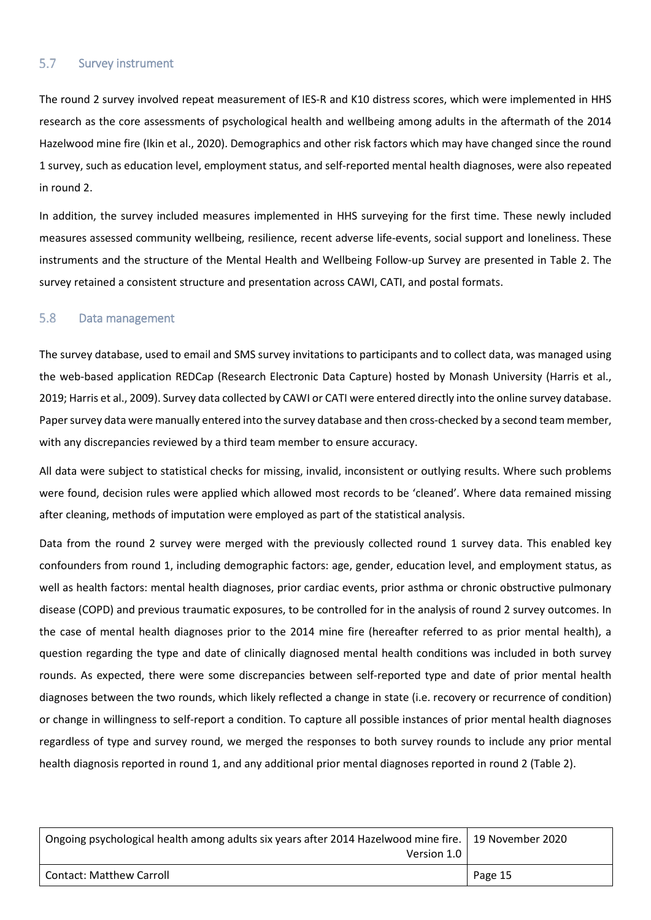#### <span id="page-14-0"></span>5.7 Survey instrument

The round 2 survey involved repeat measurement of IES-R and K10 distress scores, which were implemented in HHS research as the core assessments of psychological health and wellbeing among adults in the aftermath of the 2014 Hazelwood mine fire (Ikin et al., 2020). Demographics and other risk factors which may have changed since the round 1 survey, such as education level, employment status, and self-reported mental health diagnoses, were also repeated in round 2.

In addition, the survey included measures implemented in HHS surveying for the first time. These newly included measures assessed community wellbeing, resilience, recent adverse life-events, social support and loneliness. These instruments and the structure of the Mental Health and Wellbeing Follow-up Survey are presented in Table 2. The survey retained a consistent structure and presentation across CAWI, CATI, and postal formats.

#### <span id="page-14-1"></span>5.8 Data management

The survey database, used to email and SMS survey invitations to participants and to collect data, was managed using the web-based application REDCap (Research Electronic Data Capture) hosted by Monash University (Harris et al., 2019; Harris et al., 2009). Survey data collected by CAWI or CATI were entered directly into the online survey database. Paper survey data were manually entered into the survey database and then cross-checked by a second team member, with any discrepancies reviewed by a third team member to ensure accuracy.

All data were subject to statistical checks for missing, invalid, inconsistent or outlying results. Where such problems were found, decision rules were applied which allowed most records to be 'cleaned'. Where data remained missing after cleaning, methods of imputation were employed as part of the statistical analysis.

Data from the round 2 survey were merged with the previously collected round 1 survey data. This enabled key confounders from round 1, including demographic factors: age, gender, education level, and employment status, as well as health factors: mental health diagnoses, prior cardiac events, prior asthma or chronic obstructive pulmonary disease (COPD) and previous traumatic exposures, to be controlled for in the analysis of round 2 survey outcomes. In the case of mental health diagnoses prior to the 2014 mine fire (hereafter referred to as prior mental health), a question regarding the type and date of clinically diagnosed mental health conditions was included in both survey rounds. As expected, there were some discrepancies between self-reported type and date of prior mental health diagnoses between the two rounds, which likely reflected a change in state (i.e. recovery or recurrence of condition) or change in willingness to self-report a condition. To capture all possible instances of prior mental health diagnoses regardless of type and survey round, we merged the responses to both survey rounds to include any prior mental health diagnosis reported in round 1, and any additional prior mental diagnoses reported in round 2 (Table 2).

| Ongoing psychological health among adults six years after 2014 Hazelwood mine fire.   19 November 2020<br>Version 1.0 |         |
|-----------------------------------------------------------------------------------------------------------------------|---------|
| Contact: Matthew Carroll                                                                                              | Page 15 |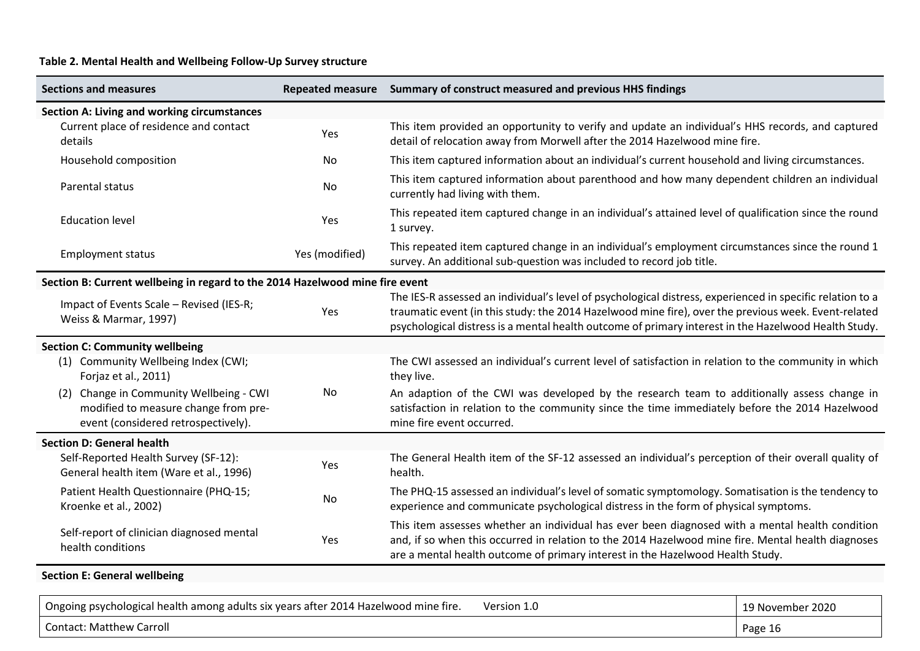### **Table 2. Mental Health and Wellbeing Follow-Up Survey structure**

| <b>Sections and measures</b>                                                                                           |                | Repeated measure Summary of construct measured and previous HHS findings                                                                                                                                                                                                                                                  |
|------------------------------------------------------------------------------------------------------------------------|----------------|---------------------------------------------------------------------------------------------------------------------------------------------------------------------------------------------------------------------------------------------------------------------------------------------------------------------------|
| <b>Section A: Living and working circumstances</b>                                                                     |                |                                                                                                                                                                                                                                                                                                                           |
| Current place of residence and contact<br>details                                                                      | Yes            | This item provided an opportunity to verify and update an individual's HHS records, and captured<br>detail of relocation away from Morwell after the 2014 Hazelwood mine fire.                                                                                                                                            |
| Household composition                                                                                                  | No             | This item captured information about an individual's current household and living circumstances.                                                                                                                                                                                                                          |
| Parental status                                                                                                        | No             | This item captured information about parenthood and how many dependent children an individual<br>currently had living with them.                                                                                                                                                                                          |
| <b>Education level</b>                                                                                                 | Yes            | This repeated item captured change in an individual's attained level of qualification since the round<br>1 survey.                                                                                                                                                                                                        |
| <b>Employment status</b>                                                                                               | Yes (modified) | This repeated item captured change in an individual's employment circumstances since the round 1<br>survey. An additional sub-question was included to record job title.                                                                                                                                                  |
| Section B: Current wellbeing in regard to the 2014 Hazelwood mine fire event                                           |                |                                                                                                                                                                                                                                                                                                                           |
| Impact of Events Scale - Revised (IES-R;<br>Weiss & Marmar, 1997)                                                      | Yes            | The IES-R assessed an individual's level of psychological distress, experienced in specific relation to a<br>traumatic event (in this study: the 2014 Hazelwood mine fire), over the previous week. Event-related<br>psychological distress is a mental health outcome of primary interest in the Hazelwood Health Study. |
| <b>Section C: Community wellbeing</b>                                                                                  |                |                                                                                                                                                                                                                                                                                                                           |
| (1) Community Wellbeing Index (CWI;<br>Forjaz et al., 2011)                                                            |                | The CWI assessed an individual's current level of satisfaction in relation to the community in which<br>they live.                                                                                                                                                                                                        |
| (2) Change in Community Wellbeing - CWI<br>modified to measure change from pre-<br>event (considered retrospectively). | No             | An adaption of the CWI was developed by the research team to additionally assess change in<br>satisfaction in relation to the community since the time immediately before the 2014 Hazelwood<br>mine fire event occurred.                                                                                                 |
| <b>Section D: General health</b>                                                                                       |                |                                                                                                                                                                                                                                                                                                                           |
| Self-Reported Health Survey (SF-12):<br>General health item (Ware et al., 1996)                                        | Yes            | The General Health item of the SF-12 assessed an individual's perception of their overall quality of<br>health.                                                                                                                                                                                                           |
| Patient Health Questionnaire (PHQ-15;<br>Kroenke et al., 2002)                                                         | <b>No</b>      | The PHQ-15 assessed an individual's level of somatic symptomology. Somatisation is the tendency to<br>experience and communicate psychological distress in the form of physical symptoms.                                                                                                                                 |
| Self-report of clinician diagnosed mental<br>health conditions                                                         | Yes            | This item assesses whether an individual has ever been diagnosed with a mental health condition<br>and, if so when this occurred in relation to the 2014 Hazelwood mine fire. Mental health diagnoses<br>are a mental health outcome of primary interest in the Hazelwood Health Study.                                   |

### <span id="page-15-0"></span>**Section E: General wellbeing**

| <sup>1</sup> Ongoing psychological health among adults six years after 2014 Hazelwood mine fire.<br>Version 1.0 | 19 November 2020 |
|-----------------------------------------------------------------------------------------------------------------|------------------|
| Contact: Matthew Carroll                                                                                        | Page 16          |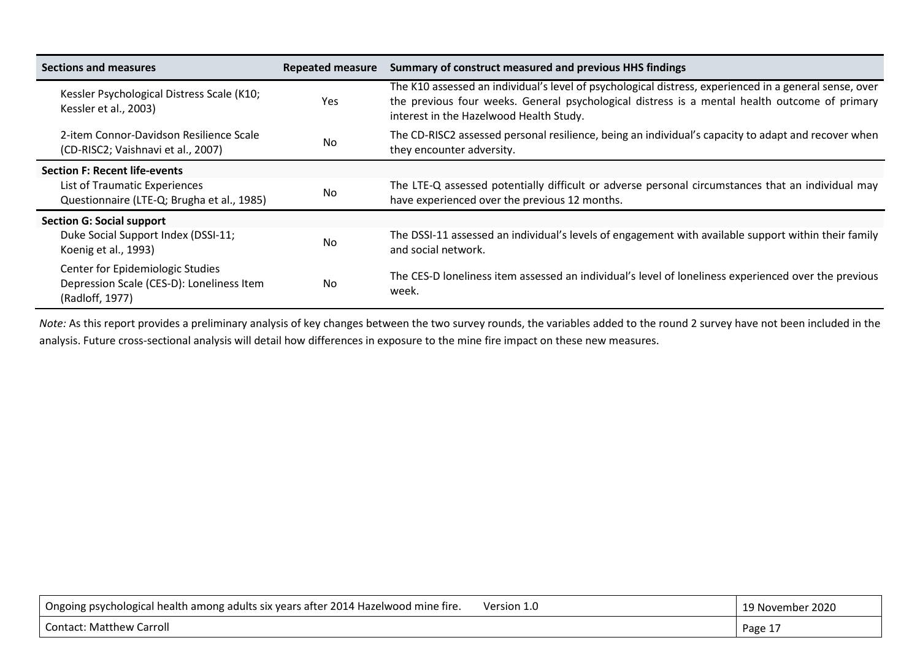| Sections and measures                                                                            | Repeated measure | Summary of construct measured and previous HHS findings                                                                                                                                                                                            |
|--------------------------------------------------------------------------------------------------|------------------|----------------------------------------------------------------------------------------------------------------------------------------------------------------------------------------------------------------------------------------------------|
| Kessler Psychological Distress Scale (K10;<br>Kessler et al., 2003)                              | Yes              | The K10 assessed an individual's level of psychological distress, experienced in a general sense, over<br>the previous four weeks. General psychological distress is a mental health outcome of primary<br>interest in the Hazelwood Health Study. |
| 2-item Connor-Davidson Resilience Scale<br>(CD-RISC2; Vaishnavi et al., 2007)                    | No               | The CD-RISC2 assessed personal resilience, being an individual's capacity to adapt and recover when<br>they encounter adversity.                                                                                                                   |
| <b>Section F: Recent life-events</b>                                                             |                  |                                                                                                                                                                                                                                                    |
| List of Traumatic Experiences<br>Questionnaire (LTE-Q; Brugha et al., 1985)                      | No               | The LTE-Q assessed potentially difficult or adverse personal circumstances that an individual may<br>have experienced over the previous 12 months.                                                                                                 |
| <b>Section G: Social support</b>                                                                 |                  |                                                                                                                                                                                                                                                    |
| Duke Social Support Index (DSSI-11;<br>Koenig et al., 1993)                                      | <b>No</b>        | The DSSI-11 assessed an individual's levels of engagement with available support within their family<br>and social network.                                                                                                                        |
| Center for Epidemiologic Studies<br>Depression Scale (CES-D): Loneliness Item<br>(Radloff, 1977) | No               | The CES-D loneliness item assessed an individual's level of loneliness experienced over the previous<br>week.                                                                                                                                      |

*Note:* As this report provides a preliminary analysis of key changes between the two survey rounds, the variables added to the round 2 survey have not been included in the analysis. Future cross-sectional analysis will detail how differences in exposure to the mine fire impact on these new measures.

| <sup>1</sup> Ongoing psychological health among adults six years after 2014 Hazelwood mine fire.<br>- Version 1. | ) November 2020  |
|------------------------------------------------------------------------------------------------------------------|------------------|
| Contact: Matthew Carroll                                                                                         | Page $\lrcorner$ |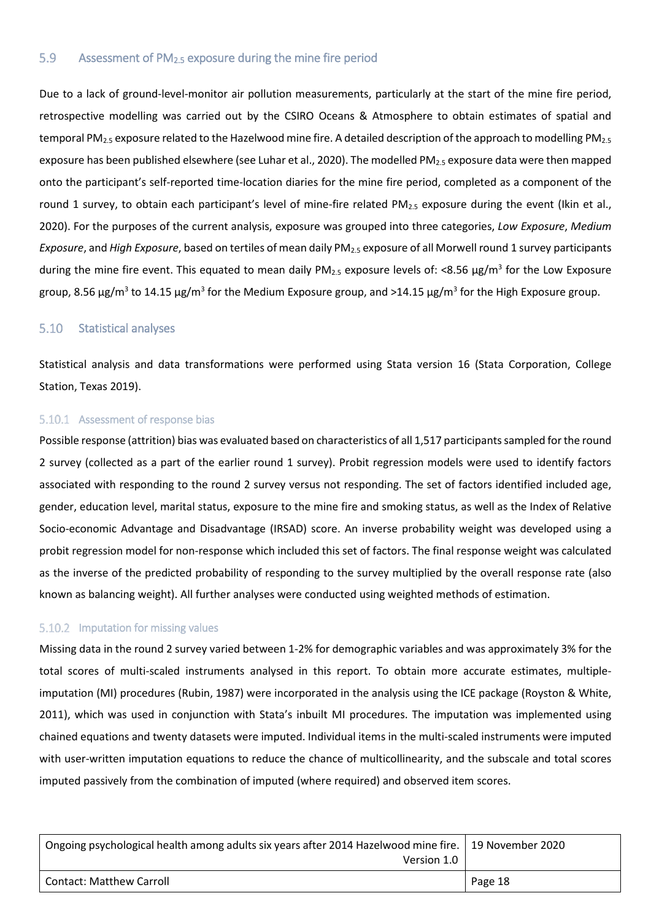#### <span id="page-17-0"></span>5.9 Assessment of PM2.5 exposure during the mine fire period

Due to a lack of ground-level-monitor air pollution measurements, particularly at the start of the mine fire period, retrospective modelling was carried out by the CSIRO Oceans & Atmosphere to obtain estimates of spatial and temporal PM<sub>2.5</sub> exposure related to the Hazelwood mine fire. A detailed description of the approach to modelling PM<sub>2.5</sub> exposure has been published elsewhere (see Luhar et al., 2020). The modelled PM<sub>2.5</sub> exposure data were then mapped onto the participant's self-reported time-location diaries for the mine fire period, completed as a component of the round 1 survey, to obtain each participant's level of mine-fire related  $PM_{2.5}$  exposure during the event (Ikin et al., 2020). For the purposes of the current analysis, exposure was grouped into three categories, *Low Exposure*, *Medium Exposure*, and *High Exposure*, based on tertiles of mean daily PM2.5 exposure of all Morwell round 1 survey participants during the mine fire event. This equated to mean daily PM<sub>2.5</sub> exposure levels of: <8.56  $\mu$ g/m<sup>3</sup> for the Low Exposure group, 8.56  $\mu$ g/m<sup>3</sup> to 14.15  $\mu$ g/m<sup>3</sup> for the Medium Exposure group, and >14.15  $\mu$ g/m<sup>3</sup> for the High Exposure group.

#### <span id="page-17-1"></span> $5.10$ Statistical analyses

Statistical analysis and data transformations were performed using Stata version 16 (Stata Corporation, College Station, Texas 2019).

### <span id="page-17-2"></span>5.10.1 Assessment of response bias

Possible response (attrition) bias was evaluated based on characteristics of all 1,517 participants sampled for the round 2 survey (collected as a part of the earlier round 1 survey). Probit regression models were used to identify factors associated with responding to the round 2 survey versus not responding. The set of factors identified included age, gender, education level, marital status, exposure to the mine fire and smoking status, as well as the Index of Relative Socio-economic Advantage and Disadvantage (IRSAD) score. An inverse probability weight was developed using a probit regression model for non-response which included this set of factors. The final response weight was calculated as the inverse of the predicted probability of responding to the survey multiplied by the overall response rate (also known as balancing weight). All further analyses were conducted using weighted methods of estimation.

### <span id="page-17-3"></span>5.10.2 Imputation for missing values

Missing data in the round 2 survey varied between 1-2% for demographic variables and was approximately 3% for the total scores of multi-scaled instruments analysed in this report. To obtain more accurate estimates, multipleimputation (MI) procedures (Rubin, 1987) were incorporated in the analysis using the ICE package (Royston & White, 2011), which was used in conjunction with Stata's inbuilt MI procedures. The imputation was implemented using chained equations and twenty datasets were imputed. Individual items in the multi-scaled instruments were imputed with user-written imputation equations to reduce the chance of multicollinearity, and the subscale and total scores imputed passively from the combination of imputed (where required) and observed item scores.

| Ongoing psychological health among adults six years after 2014 Hazelwood mine fire. 19 November 2020<br>Version 1.0 |         |
|---------------------------------------------------------------------------------------------------------------------|---------|
| <b>Contact: Matthew Carroll</b>                                                                                     | Page 18 |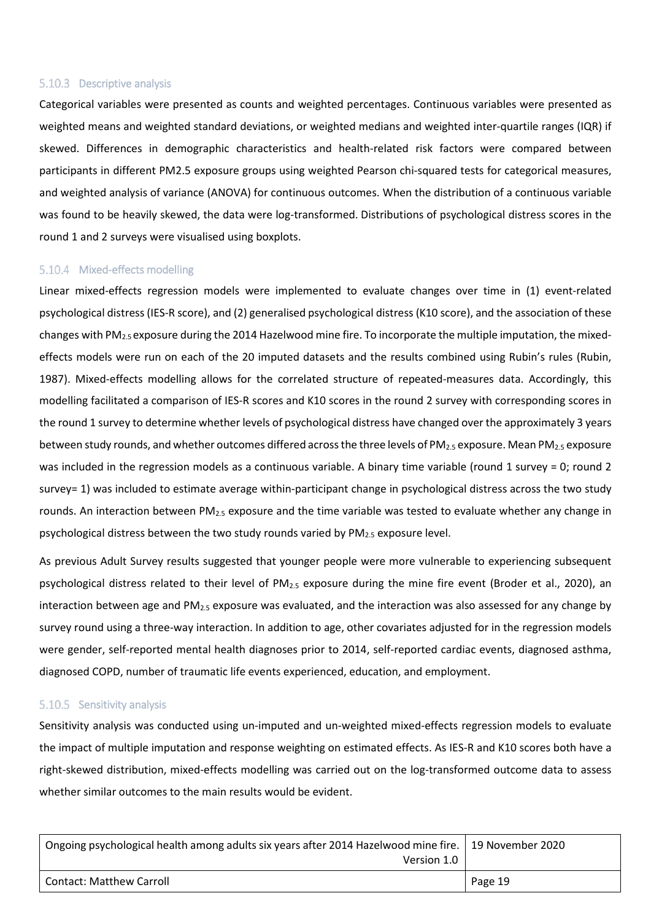#### <span id="page-18-0"></span>5.10.3 Descriptive analysis

Categorical variables were presented as counts and weighted percentages. Continuous variables were presented as weighted means and weighted standard deviations, or weighted medians and weighted inter-quartile ranges (IQR) if skewed. Differences in demographic characteristics and health-related risk factors were compared between participants in different PM2.5 exposure groups using weighted Pearson chi-squared tests for categorical measures, and weighted analysis of variance (ANOVA) for continuous outcomes. When the distribution of a continuous variable was found to be heavily skewed, the data were log-transformed. Distributions of psychological distress scores in the round 1 and 2 surveys were visualised using boxplots.

#### <span id="page-18-1"></span>5.10.4 Mixed-effects modelling

Linear mixed-effects regression models were implemented to evaluate changes over time in (1) event-related psychological distress (IES-R score), and (2) generalised psychological distress (K10 score), and the association of these changes with PM<sub>2.5</sub> exposure during the 2014 Hazelwood mine fire. To incorporate the multiple imputation, the mixedeffects models were run on each of the 20 imputed datasets and the results combined using Rubin's rules (Rubin, 1987). Mixed-effects modelling allows for the correlated structure of repeated-measures data. Accordingly, this modelling facilitated a comparison of IES-R scores and K10 scores in the round 2 survey with corresponding scores in the round 1 survey to determine whether levels of psychological distress have changed over the approximately 3 years between study rounds, and whether outcomes differed across the three levels of PM<sub>2.5</sub> exposure. Mean PM<sub>2.5</sub> exposure was included in the regression models as a continuous variable. A binary time variable (round 1 survey = 0; round 2 survey= 1) was included to estimate average within-participant change in psychological distress across the two study rounds. An interaction between PM2.5 exposure and the time variable was tested to evaluate whether any change in psychological distress between the two study rounds varied by  $PM_2$  s exposure level.

As previous Adult Survey results suggested that younger people were more vulnerable to experiencing subsequent psychological distress related to their level of  $PM_{2.5}$  exposure during the mine fire event (Broder et al., 2020), an interaction between age and  $PM_{2.5}$  exposure was evaluated, and the interaction was also assessed for any change by survey round using a three-way interaction. In addition to age, other covariates adjusted for in the regression models were gender, self-reported mental health diagnoses prior to 2014, self-reported cardiac events, diagnosed asthma, diagnosed COPD, number of traumatic life events experienced, education, and employment.

#### <span id="page-18-2"></span>5.10.5 Sensitivity analysis

Sensitivity analysis was conducted using un-imputed and un-weighted mixed-effects regression models to evaluate the impact of multiple imputation and response weighting on estimated effects. As IES-R and K10 scores both have a right-skewed distribution, mixed-effects modelling was carried out on the log-transformed outcome data to assess whether similar outcomes to the main results would be evident.

| Ongoing psychological health among adults six years after 2014 Hazelwood mine fire.   19 November 2020  <br>Version 1.0 |         |
|-------------------------------------------------------------------------------------------------------------------------|---------|
| <b>Contact: Matthew Carroll</b>                                                                                         | Page 19 |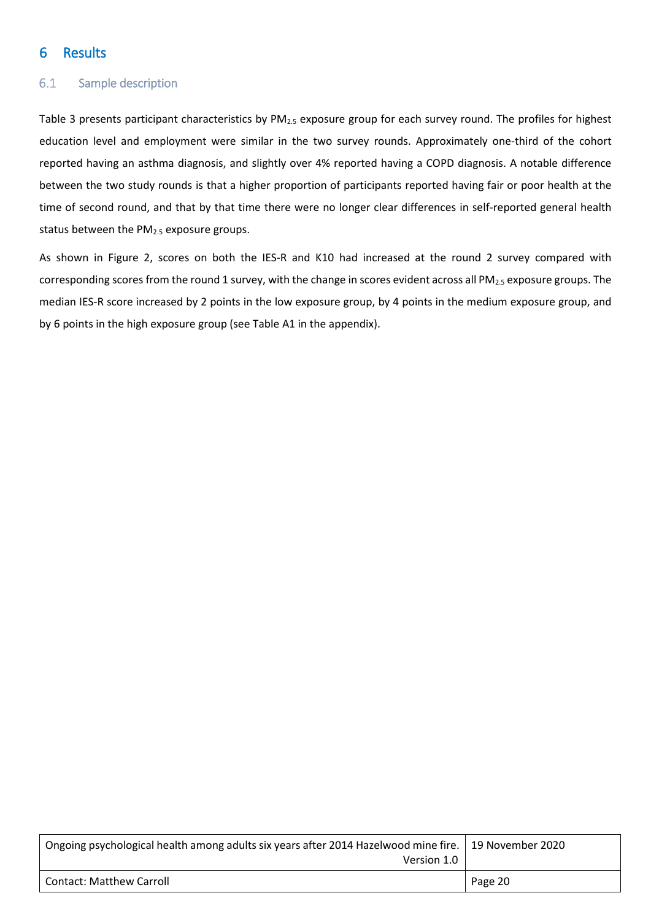### <span id="page-19-0"></span>6 Results

#### <span id="page-19-1"></span> $6.1$ Sample description

Table 3 presents participant characteristics by PM<sub>2.5</sub> exposure group for each survey round. The profiles for highest education level and employment were similar in the two survey rounds. Approximately one-third of the cohort reported having an asthma diagnosis, and slightly over 4% reported having a COPD diagnosis. A notable difference between the two study rounds is that a higher proportion of participants reported having fair or poor health at the time of second round, and that by that time there were no longer clear differences in self-reported general health status between the  $PM<sub>2.5</sub>$  exposure groups.

As shown in Figure 2, scores on both the IES-R and K10 had increased at the round 2 survey compared with corresponding scores from the round 1 survey, with the change in scores evident across all PM<sub>2.5</sub> exposure groups. The median IES-R score increased by 2 points in the low exposure group, by 4 points in the medium exposure group, and by 6 points in the high exposure group (see Table A1 in the appendix).

| Ongoing psychological health among adults six years after 2014 Hazelwood mine fire.   19 November 2020<br>Version 1.0 |         |
|-----------------------------------------------------------------------------------------------------------------------|---------|
| <b>Contact: Matthew Carroll</b>                                                                                       | Page 20 |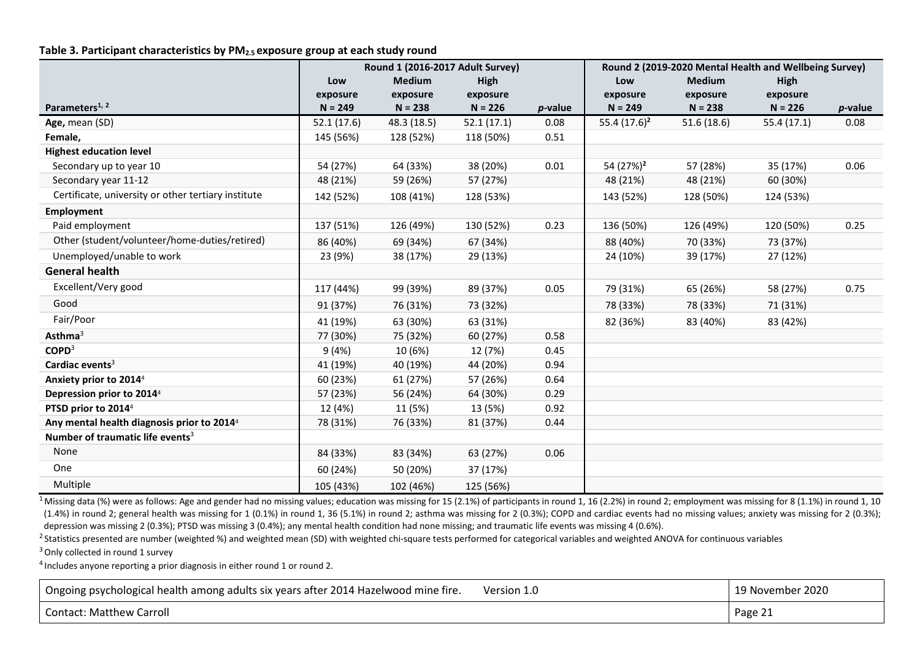#### **Table 3. Participant characteristics by PM2.5 exposure group at each study round**

|                                                        |            | Round 1 (2016-2017 Adult Survey) |            |                 |                       |               | Round 2 (2019-2020 Mental Health and Wellbeing Survey) |            |
|--------------------------------------------------------|------------|----------------------------------|------------|-----------------|-----------------------|---------------|--------------------------------------------------------|------------|
|                                                        | Low        | <b>Medium</b>                    | High       |                 | Low                   | <b>Medium</b> | High                                                   |            |
|                                                        | exposure   | exposure                         | exposure   |                 | exposure              | exposure      | exposure                                               |            |
| Parameters <sup>1, 2</sup>                             | $N = 249$  | $N = 238$                        | $N = 226$  | <i>p</i> -value | $N = 249$             | $N = 238$     | $N = 226$                                              | $p$ -value |
| Age, mean (SD)                                         | 52.1(17.6) | 48.3 (18.5)                      | 52.1(17.1) | 0.08            | 55.4 $(17.6)^2$       | 51.6(18.6)    | 55.4(17.1)                                             | 0.08       |
| Female,                                                | 145 (56%)  | 128 (52%)                        | 118 (50%)  | 0.51            |                       |               |                                                        |            |
| <b>Highest education level</b>                         |            |                                  |            |                 |                       |               |                                                        |            |
| Secondary up to year 10                                | 54 (27%)   | 64 (33%)                         | 38 (20%)   | 0.01            | 54 (27%) <sup>2</sup> | 57 (28%)      | 35 (17%)                                               | 0.06       |
| Secondary year 11-12                                   | 48 (21%)   | 59 (26%)                         | 57 (27%)   |                 | 48 (21%)              | 48 (21%)      | 60 (30%)                                               |            |
| Certificate, university or other tertiary institute    | 142 (52%)  | 108 (41%)                        | 128 (53%)  |                 | 143 (52%)             | 128 (50%)     | 124 (53%)                                              |            |
| <b>Employment</b>                                      |            |                                  |            |                 |                       |               |                                                        |            |
| Paid employment                                        | 137 (51%)  | 126 (49%)                        | 130 (52%)  | 0.23            | 136 (50%)             | 126 (49%)     | 120 (50%)                                              | 0.25       |
| Other (student/volunteer/home-duties/retired)          | 86 (40%)   | 69 (34%)                         | 67 (34%)   |                 | 88 (40%)              | 70 (33%)      | 73 (37%)                                               |            |
| Unemployed/unable to work                              | 23 (9%)    | 38 (17%)                         | 29 (13%)   |                 | 24 (10%)              | 39 (17%)      | 27 (12%)                                               |            |
| <b>General health</b>                                  |            |                                  |            |                 |                       |               |                                                        |            |
| Excellent/Very good                                    | 117 (44%)  | 99 (39%)                         | 89 (37%)   | 0.05            | 79 (31%)              | 65 (26%)      | 58 (27%)                                               | 0.75       |
| Good                                                   | 91 (37%)   | 76 (31%)                         | 73 (32%)   |                 | 78 (33%)              | 78 (33%)      | 71 (31%)                                               |            |
| Fair/Poor                                              | 41 (19%)   | 63 (30%)                         | 63 (31%)   |                 | 82 (36%)              | 83 (40%)      | 83 (42%)                                               |            |
| Asthma $3$                                             | 77 (30%)   | 75 (32%)                         | 60 (27%)   | 0.58            |                       |               |                                                        |            |
| COPD <sup>3</sup>                                      | 9(4%)      | 10 (6%)                          | 12 (7%)    | 0.45            |                       |               |                                                        |            |
| Cardiac events <sup>3</sup>                            | 41 (19%)   | 40 (19%)                         | 44 (20%)   | 0.94            |                       |               |                                                        |            |
| Anxiety prior to 2014 <sup>4</sup>                     | 60 (23%)   | 61 (27%)                         | 57 (26%)   | 0.64            |                       |               |                                                        |            |
| Depression prior to 2014 <sup>4</sup>                  | 57 (23%)   | 56 (24%)                         | 64 (30%)   | 0.29            |                       |               |                                                        |            |
| PTSD prior to 2014 <sup>4</sup>                        | 12 (4%)    | 11 (5%)                          | 13 (5%)    | 0.92            |                       |               |                                                        |            |
| Any mental health diagnosis prior to 2014 <sup>4</sup> | 78 (31%)   | 76 (33%)                         | 81 (37%)   | 0.44            |                       |               |                                                        |            |
| Number of traumatic life events <sup>3</sup>           |            |                                  |            |                 |                       |               |                                                        |            |
| None                                                   | 84 (33%)   | 83 (34%)                         | 63 (27%)   | 0.06            |                       |               |                                                        |            |
| One                                                    | 60 (24%)   | 50 (20%)                         | 37 (17%)   |                 |                       |               |                                                        |            |
| Multiple                                               | 105 (43%)  | 102 (46%)                        | 125 (56%)  |                 |                       |               |                                                        |            |

<span id="page-20-0"></span> $1$  Missing data (%) were as follows: Age and gender had no missing values; education was missing for 15 (2.1%) of participants in round 1, 16 (2.2%) in round 2; employment was missing for 8 (1.1%) in round 1, 10 (1.4%) in round 2; general health was missing for 1 (0.1%) in round 1, 36 (5.1%) in round 2; asthma was missing for 2 (0.3%); COPD and cardiac events had no missing values; anxiety was missing for 2 (0.3%); depression was missing 2 (0.3%); PTSD was missing 3 (0.4%); any mental health condition had none missing; and traumatic life events was missing 4 (0.6%).<br><sup>2</sup> Statistics presented are number (weighted %) and weighted mean (

<sup>3</sup> Only collected in round 1 survey

<sup>4</sup> Includes anyone reporting a prior diagnosis in either round 1 or round 2.

Ongoing psychological health among adults six years after 2014 Hazelwood mine fire. Version 1.0 19 November 2020

Contact: Matthew Carroll Page 21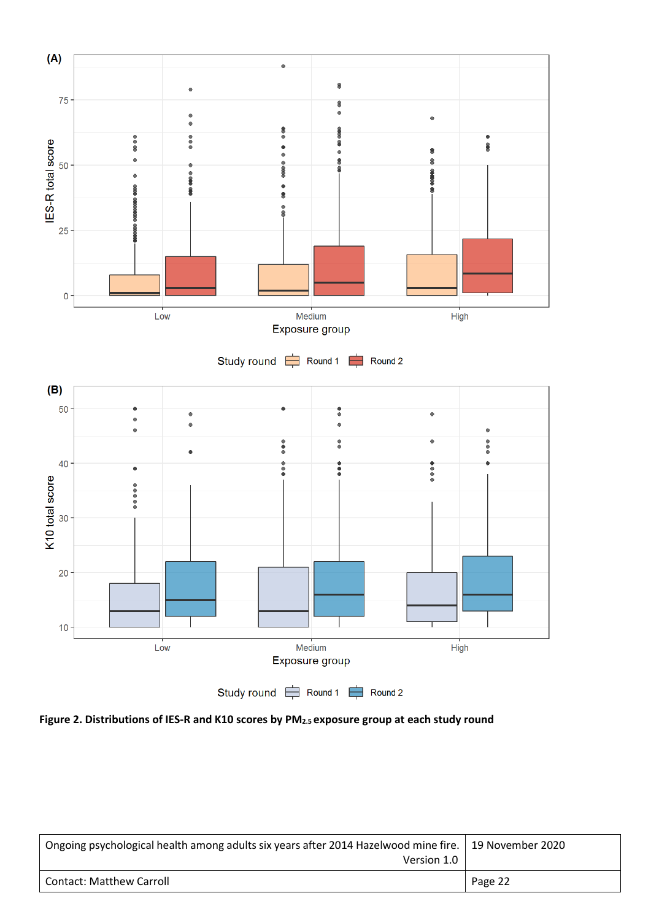

<span id="page-21-0"></span>Figure 2. Distributions of IES-R and K10 scores by PM<sub>2.5</sub> exposure group at each study round

| Ongoing psychological health among adults six years after 2014 Hazelwood mine fire. 19 November 2020<br>Version 1.0 |         |
|---------------------------------------------------------------------------------------------------------------------|---------|
| <b>Contact: Matthew Carroll</b>                                                                                     | Page 22 |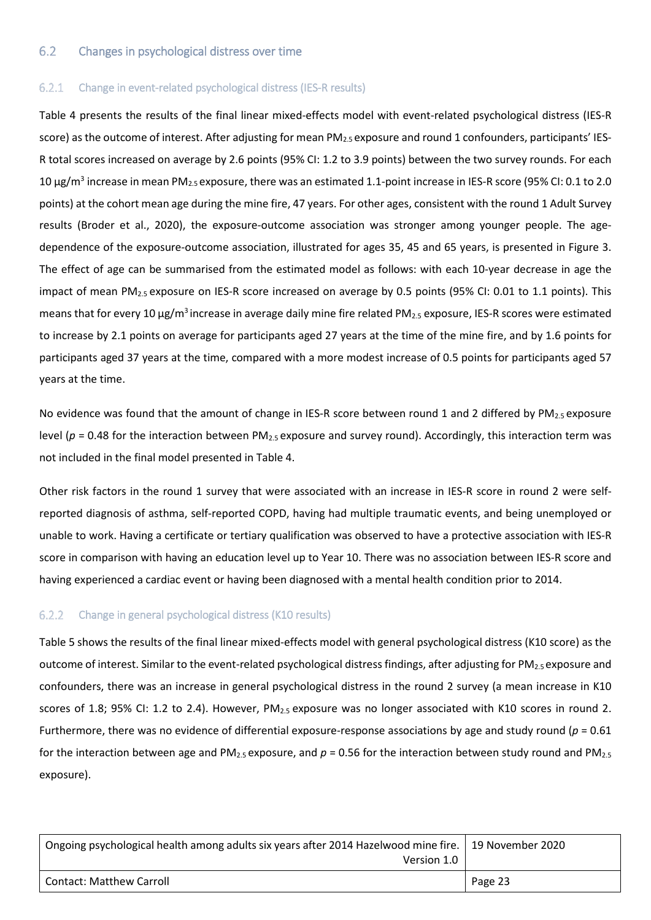#### <span id="page-22-0"></span> $6.2$ Changes in psychological distress over time

#### <span id="page-22-1"></span>Change in event-related psychological distress (IES-R results)  $6.2.1$

Table 4 presents the results of the final linear mixed-effects model with event-related psychological distress (IES-R score) as the outcome of interest. After adjusting for mean PM<sub>2.5</sub> exposure and round 1 confounders, participants' IES-R total scores increased on average by 2.6 points (95% CI: 1.2 to 3.9 points) between the two survey rounds. For each 10  $\mu$ g/m<sup>3</sup> increase in mean PM<sub>2.5</sub> exposure, there was an estimated 1.1-point increase in IES-R score (95% CI: 0.1 to 2.0 points) at the cohort mean age during the mine fire, 47 years. For other ages, consistent with the round 1 Adult Survey results (Broder et al., 2020), the exposure-outcome association was stronger among younger people. The agedependence of the exposure-outcome association, illustrated for ages 35, 45 and 65 years, is presented in Figure 3. The effect of age can be summarised from the estimated model as follows: with each 10-year decrease in age the impact of mean PM2.5 exposure on IES-R score increased on average by 0.5 points (95% CI: 0.01 to 1.1 points). This means that for every 10  $\mu$ g/m<sup>3</sup> increase in average daily mine fire related PM<sub>2.5</sub> exposure, IES-R scores were estimated to increase by 2.1 points on average for participants aged 27 years at the time of the mine fire, and by 1.6 points for participants aged 37 years at the time, compared with a more modest increase of 0.5 points for participants aged 57 years at the time.

No evidence was found that the amount of change in IES-R score between round 1 and 2 differed by  $PM_{2.5}$  exposure level ( $p = 0.48$  for the interaction between PM<sub>2.5</sub> exposure and survey round). Accordingly, this interaction term was not included in the final model presented in Table 4.

Other risk factors in the round 1 survey that were associated with an increase in IES-R score in round 2 were selfreported diagnosis of asthma, self-reported COPD, having had multiple traumatic events, and being unemployed or unable to work. Having a certificate or tertiary qualification was observed to have a protective association with IES-R score in comparison with having an education level up to Year 10. There was no association between IES-R score and having experienced a cardiac event or having been diagnosed with a mental health condition prior to 2014.

#### <span id="page-22-2"></span>Change in general psychological distress (K10 results)  $6.2.2$

Table 5 shows the results of the final linear mixed-effects model with general psychological distress (K10 score) as the outcome of interest. Similar to the event-related psychological distress findings, after adjusting for PM<sub>2.5</sub> exposure and confounders, there was an increase in general psychological distress in the round 2 survey (a mean increase in K10 scores of 1.8; 95% CI: 1.2 to 2.4). However, PM<sub>2.5</sub> exposure was no longer associated with K10 scores in round 2. Furthermore, there was no evidence of differential exposure-response associations by age and study round (*p* = 0.61 for the interaction between age and  $PM_{2.5}$  exposure, and  $p = 0.56$  for the interaction between study round and PM<sub>2.5</sub> exposure).

| Ongoing psychological health among adults six years after 2014 Hazelwood mine fire. 19 November 2020<br>Version 1.0 |         |
|---------------------------------------------------------------------------------------------------------------------|---------|
| <b>Contact: Matthew Carroll</b>                                                                                     | Page 23 |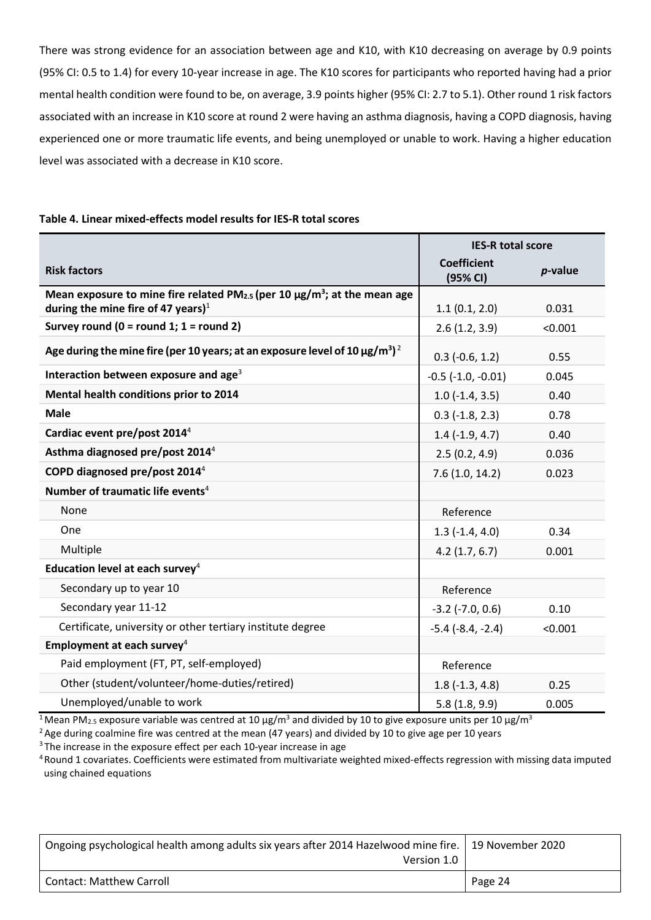There was strong evidence for an association between age and K10, with K10 decreasing on average by 0.9 points (95% CI: 0.5 to 1.4) for every 10-year increase in age. The K10 scores for participants who reported having had a prior mental health condition were found to be, on average, 3.9 points higher (95% CI: 2.7 to 5.1). Other round 1 risk factors associated with an increase in K10 score at round 2 were having an asthma diagnosis, having a COPD diagnosis, having experienced one or more traumatic life events, and being unemployed or unable to work. Having a higher education level was associated with a decrease in K10 score.

### <span id="page-23-0"></span>**Table 4. Linear mixed-effects model results for IES-R total scores**

|                                                                                                                                                | <b>IES-R total score</b>       |            |
|------------------------------------------------------------------------------------------------------------------------------------------------|--------------------------------|------------|
| <b>Risk factors</b>                                                                                                                            | <b>Coefficient</b><br>(95% CI) | $p$ -value |
| Mean exposure to mine fire related PM <sub>2.5</sub> (per 10 $\mu$ g/m <sup>3</sup> ; at the mean age<br>during the mine fire of 47 years) $1$ | 1.1(0.1, 2.0)                  | 0.031      |
| Survey round (0 = round 1; 1 = round 2)                                                                                                        | 2.6(1.2, 3.9)                  | < 0.001    |
| Age during the mine fire (per 10 years; at an exposure level of 10 $\mu$ g/m <sup>3</sup> ) <sup>2</sup>                                       | $0.3$ (-0.6, 1.2)              | 0.55       |
| Interaction between exposure and age <sup>3</sup>                                                                                              | $-0.5$ $(-1.0, -0.01)$         | 0.045      |
| Mental health conditions prior to 2014                                                                                                         | $1.0$ (-1.4, 3.5)              | 0.40       |
| <b>Male</b>                                                                                                                                    | $0.3$ (-1.8, 2.3)              | 0.78       |
| Cardiac event pre/post 2014 <sup>4</sup>                                                                                                       | $1.4$ (-1.9, 4.7)              | 0.40       |
| Asthma diagnosed pre/post 2014 <sup>4</sup>                                                                                                    | 2.5(0.2, 4.9)                  | 0.036      |
| COPD diagnosed pre/post 2014 <sup>4</sup>                                                                                                      | 7.6(1.0, 14.2)                 | 0.023      |
| Number of traumatic life events <sup>4</sup>                                                                                                   |                                |            |
| None                                                                                                                                           | Reference                      |            |
| One                                                                                                                                            | $1.3$ (-1.4, 4.0)              | 0.34       |
| Multiple                                                                                                                                       | $4.2$ (1.7, 6.7)               | 0.001      |
| Education level at each survey <sup>4</sup>                                                                                                    |                                |            |
| Secondary up to year 10                                                                                                                        | Reference                      |            |
| Secondary year 11-12                                                                                                                           | $-3.2$ ( $-7.0$ , 0.6)         | 0.10       |
| Certificate, university or other tertiary institute degree                                                                                     | $-5.4$ $(-8.4, -2.4)$          | < 0.001    |
| Employment at each survey <sup>4</sup>                                                                                                         |                                |            |
| Paid employment (FT, PT, self-employed)                                                                                                        | Reference                      |            |
| Other (student/volunteer/home-duties/retired)                                                                                                  | $1.8(-1.3, 4.8)$               | 0.25       |
| Unemployed/unable to work                                                                                                                      | 5.8(1.8, 9.9)                  | 0.005      |

<sup>1</sup> Mean PM<sub>2.5</sub> exposure variable was centred at 10  $\mu$ g/m<sup>3</sup> and divided by 10 to give exposure units per 10  $\mu$ g/m<sup>3</sup>

<sup>2</sup> Age during coalmine fire was centred at the mean (47 years) and divided by 10 to give age per 10 years

<sup>3</sup> The increase in the exposure effect per each 10-year increase in age

4Round 1 covariates. Coefficients were estimated from multivariate weighted mixed-effects regression with missing data imputed using chained equations

| Ongoing psychological health among adults six years after 2014 Hazelwood mine fire. 19 November 2020 |         |
|------------------------------------------------------------------------------------------------------|---------|
| Version 1.0                                                                                          |         |
| <b>Contact: Matthew Carroll</b>                                                                      | Page 24 |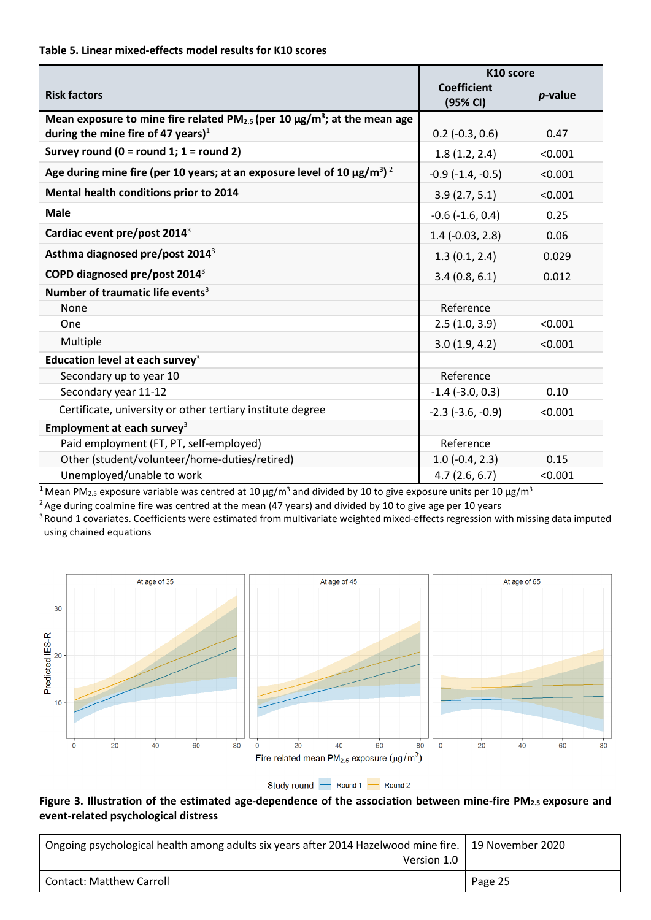### <span id="page-24-0"></span>**Table 5. Linear mixed-effects model results for K10 scores**

|                                                                                                                                                         | K10 score                      |         |
|---------------------------------------------------------------------------------------------------------------------------------------------------------|--------------------------------|---------|
| <b>Risk factors</b>                                                                                                                                     | <b>Coefficient</b><br>(95% CI) | p-value |
| Mean exposure to mine fire related PM <sub>2.5</sub> (per 10 $\mu$ g/m <sup>3</sup> ; at the mean age<br>during the mine fire of 47 years) <sup>1</sup> | $0.2$ (-0.3, 0.6)              | 0.47    |
| Survey round (0 = round 1; 1 = round 2)                                                                                                                 | 1.8(1.2, 2.4)                  | < 0.001 |
| Age during mine fire (per 10 years; at an exposure level of 10 $\mu$ g/m <sup>3</sup> ) <sup>2</sup>                                                    | $-0.9$ $(-1.4, -0.5)$          | < 0.001 |
| Mental health conditions prior to 2014                                                                                                                  | 3.9(2.7, 5.1)                  | < 0.001 |
| <b>Male</b>                                                                                                                                             | $-0.6$ $(-1.6, 0.4)$           | 0.25    |
| Cardiac event pre/post 2014 <sup>3</sup>                                                                                                                | $1.4$ (-0.03, 2.8)             | 0.06    |
| Asthma diagnosed pre/post 2014 <sup>3</sup>                                                                                                             | 1.3(0.1, 2.4)                  | 0.029   |
| COPD diagnosed pre/post 2014 <sup>3</sup>                                                                                                               | 3.4(0.8, 6.1)                  | 0.012   |
| Number of traumatic life events <sup>3</sup>                                                                                                            |                                |         |
| None                                                                                                                                                    | Reference                      |         |
| One                                                                                                                                                     | 2.5(1.0, 3.9)                  | < 0.001 |
| Multiple                                                                                                                                                | 3.0(1.9, 4.2)                  | < 0.001 |
| Education level at each survey $3$                                                                                                                      |                                |         |
| Secondary up to year 10                                                                                                                                 | Reference                      |         |
| Secondary year 11-12                                                                                                                                    | $-1.4$ ( $-3.0, 0.3$ )         | 0.10    |
| Certificate, university or other tertiary institute degree                                                                                              | $-2.3$ $(-3.6, -0.9)$          | < 0.001 |
| Employment at each survey <sup>3</sup>                                                                                                                  |                                |         |
| Paid employment (FT, PT, self-employed)                                                                                                                 | Reference                      |         |
| Other (student/volunteer/home-duties/retired)                                                                                                           | $1.0$ (-0.4, 2.3)              | 0.15    |
| Unemployed/unable to work                                                                                                                               | 4.7(2.6, 6.7)                  | < 0.001 |

<sup>1</sup> Mean PM<sub>2.5</sub> exposure variable was centred at 10 μg/m<sup>3</sup> and divided by 10 to give exposure units per 10 μg/m<sup>3</sup>

<sup>2</sup> Age during coalmine fire was centred at the mean (47 years) and divided by 10 to give age per 10 years

<sup>3</sup> Round 1 covariates. Coefficients were estimated from multivariate weighted mixed-effects regression with missing data imputed using chained equations



Study round - Round 1 - Round 2

### <span id="page-24-1"></span>Figure 3. Illustration of the estimated age-dependence of the association between mine-fire PM<sub>2.5</sub> exposure and **event-related psychological distress**

| Ongoing psychological health among adults six years after 2014 Hazelwood mine fire.   19 November 2020<br>Version 1.0 |         |
|-----------------------------------------------------------------------------------------------------------------------|---------|
| <b>Contact: Matthew Carroll</b>                                                                                       | Page 25 |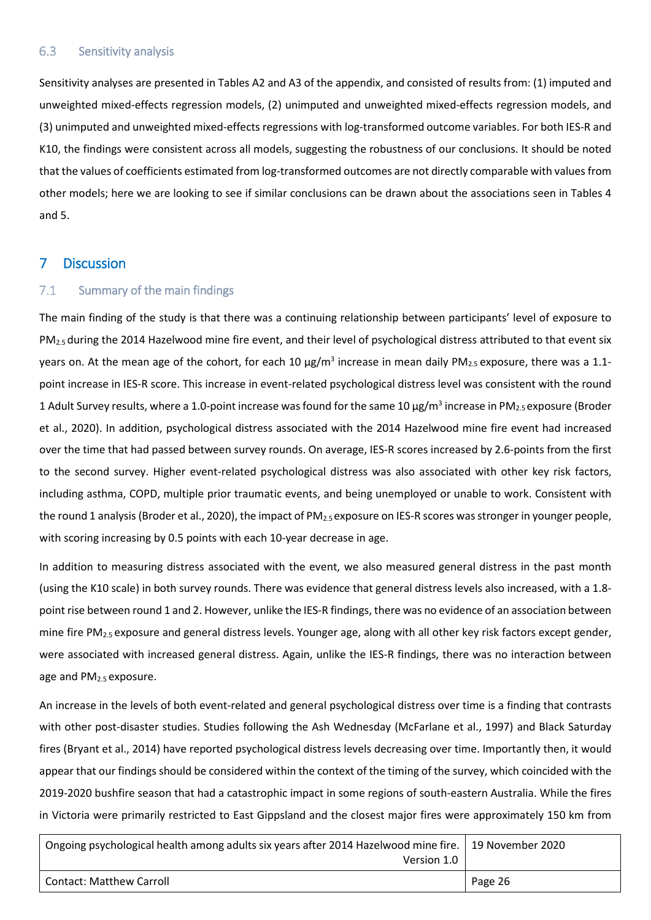#### <span id="page-25-0"></span>6.3 Sensitivity analysis

Sensitivity analyses are presented in Tables A2 and A3 of the appendix, and consisted of results from: (1) imputed and unweighted mixed-effects regression models, (2) unimputed and unweighted mixed-effects regression models, and (3) unimputed and unweighted mixed-effects regressions with log-transformed outcome variables. For both IES-R and K10, the findings were consistent across all models, suggesting the robustness of our conclusions. It should be noted that the values of coefficients estimated from log-transformed outcomes are not directly comparable with values from other models; here we are looking to see if similar conclusions can be drawn about the associations seen in Tables 4 and 5.

### <span id="page-25-1"></span>7 Discussion

#### <span id="page-25-2"></span>Summary of the main findings  $7.1$

The main finding of the study is that there was a continuing relationship between participants' level of exposure to PM<sub>2.5</sub> during the 2014 Hazelwood mine fire event, and their level of psychological distress attributed to that event six years on. At the mean age of the cohort, for each 10  $\mu$ g/m<sup>3</sup> increase in mean daily PM<sub>2.5</sub> exposure, there was a 1.1point increase in IES-R score. This increase in event-related psychological distress level was consistent with the round 1 Adult Survey results, where a 1.0-point increase was found for the same 10  $\mu$ g/m<sup>3</sup> increase in PM<sub>2.5</sub> exposure (Broder et al., 2020). In addition, psychological distress associated with the 2014 Hazelwood mine fire event had increased over the time that had passed between survey rounds. On average, IES-R scores increased by 2.6-points from the first to the second survey. Higher event-related psychological distress was also associated with other key risk factors, including asthma, COPD, multiple prior traumatic events, and being unemployed or unable to work. Consistent with the round 1 analysis (Broder et al., 2020), the impact of PM<sub>2.5</sub> exposure on IES-R scores was stronger in younger people, with scoring increasing by 0.5 points with each 10-year decrease in age.

In addition to measuring distress associated with the event, we also measured general distress in the past month (using the K10 scale) in both survey rounds. There was evidence that general distress levels also increased, with a 1.8 point rise between round 1 and 2. However, unlike the IES-R findings, there was no evidence of an association between mine fire PM2.5 exposure and general distress levels. Younger age, along with all other key risk factors except gender, were associated with increased general distress. Again, unlike the IES-R findings, there was no interaction between age and  $PM<sub>2.5</sub>$  exposure.

An increase in the levels of both event-related and general psychological distress over time is a finding that contrasts with other post-disaster studies. Studies following the Ash Wednesday (McFarlane et al., 1997) and Black Saturday fires (Bryant et al., 2014) have reported psychological distress levels decreasing over time. Importantly then, it would appear that our findings should be considered within the context of the timing of the survey, which coincided with the 2019-2020 bushfire season that had a catastrophic impact in some regions of south-eastern Australia. While the fires in Victoria were primarily restricted to East Gippsland and the closest major fires were approximately 150 km from

| Ongoing psychological health among adults six years after 2014 Hazelwood mine fire.   19 November 2020<br>Version 1.0 |         |
|-----------------------------------------------------------------------------------------------------------------------|---------|
| <b>Contact: Matthew Carroll</b>                                                                                       | Page 26 |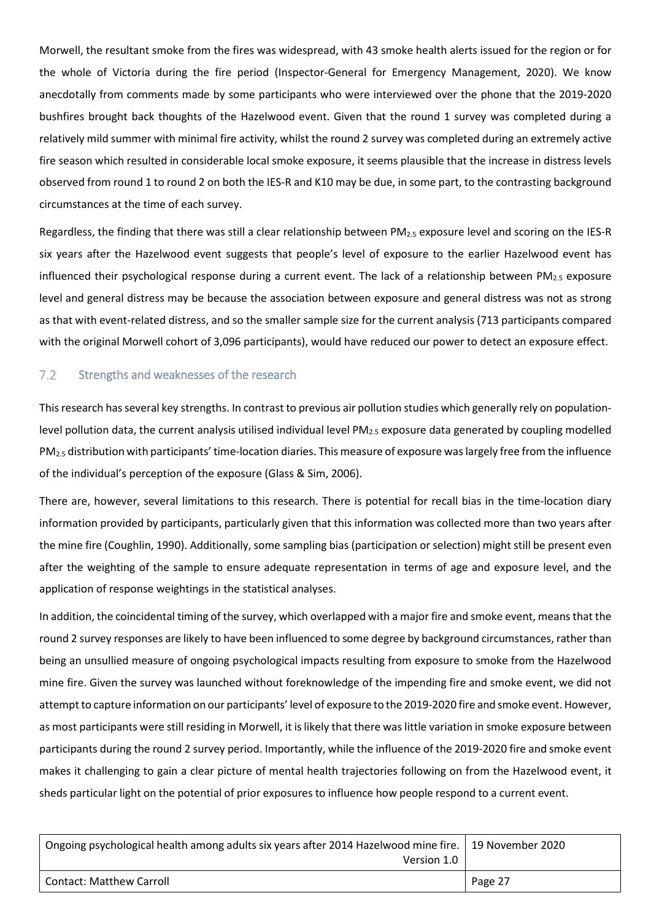Morwell, the resultant smoke from the fires was widespread, with 43 smoke health alerts issued for the region or for the whole of Victoria during the fire period (Inspector-General for Emergency Management, 2020). We know anecdotally from comments made by some participants who were interviewed over the phone that the 2019-2020 bushfires brought back thoughts of the Hazelwood event. Given that the round 1 survey was completed during a relatively mild summer with minimal fire activity, whilst the round 2 survey was completed during an extremely active fire season which resulted in considerable local smoke exposure, it seems plausible that the increase in distress levels observed from round 1 to round 2 on both the IES-R and K10 may be due, in some part, to the contrasting background circumstances at the time of each survey.

Regardless, the finding that there was still a clear relationship between PM<sub>2.5</sub> exposure level and scoring on the IES-R six years after the Hazelwood event suggests that people's level of exposure to the earlier Hazelwood event has influenced their psychological response during a current event. The lack of a relationship between  $PM_{2.5}$  exposure level and general distress may be because the association between exposure and general distress was not as strong as that with event-related distress, and so the smaller sample size for the current analysis (713 participants compared with the original Morwell cohort of 3,096 participants), would have reduced our power to detect an exposure effect.

#### <span id="page-26-0"></span> $7.2$ Strengths and weaknesses of the research

This research has several key strengths. In contrast to previous air pollution studies which generally rely on populationlevel pollution data, the current analysis utilised individual level  $PM_{2.5}$  exposure data generated by coupling modelled  $PM_{2.5}$  distribution with participants' time-location diaries. This measure of exposure was largely free from the influence of the individual's perception of the exposure (Glass & Sim, 2006).

There are, however, several limitations to this research. There is potential for recall bias in the time-location diary information provided by participants, particularly given that this information was collected more than two years after the mine fire (Coughlin, 1990). Additionally, some sampling bias (participation or selection) might still be present even after the weighting of the sample to ensure adequate representation in terms of age and exposure level, and the application of response weightings in the statistical analyses.

In addition, the coincidental timing of the survey, which overlapped with a major fire and smoke event, means that the round 2 survey responses are likely to have been influenced to some degree by background circumstances, rather than being an unsullied measure of ongoing psychological impacts resulting from exposure to smoke from the Hazelwood mine fire. Given the survey was launched without foreknowledge of the impending fire and smoke event, we did not attempt to capture information on our participants' level of exposure to the 2019-2020 fire and smoke event. However, as most participants were still residing in Morwell, it islikely that there was little variation in smoke exposure between participants during the round 2 survey period. Importantly, while the influence of the 2019-2020 fire and smoke event makes it challenging to gain a clear picture of mental health trajectories following on from the Hazelwood event, it sheds particular light on the potential of prior exposures to influence how people respond to a current event.

| Ongoing psychological health among adults six years after 2014 Hazelwood mine fire.   19 November 2020<br>Version 1.0 |         |
|-----------------------------------------------------------------------------------------------------------------------|---------|
| <b>Contact: Matthew Carroll</b>                                                                                       | Page 27 |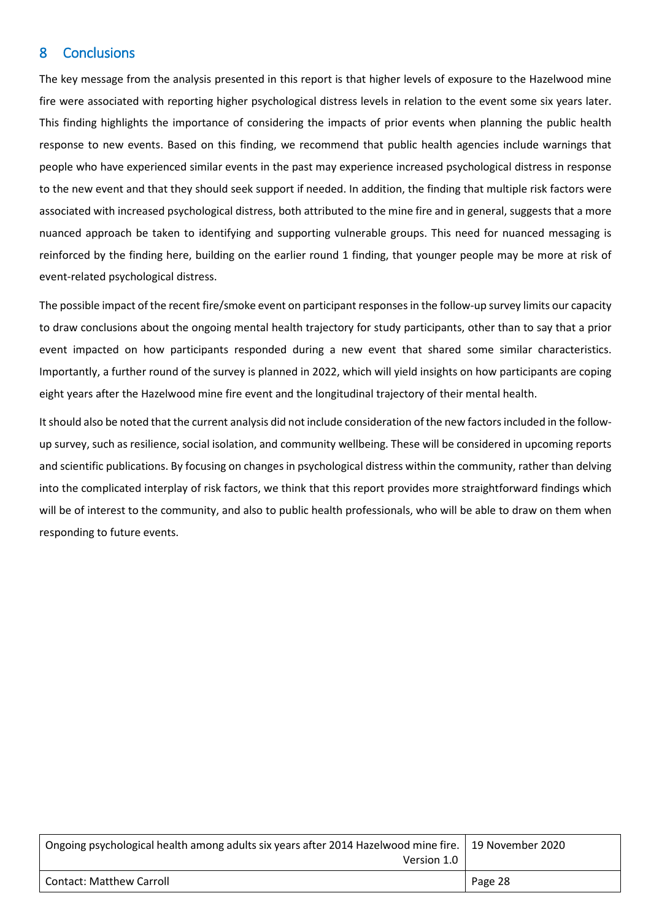### <span id="page-27-0"></span>8 Conclusions

The key message from the analysis presented in this report is that higher levels of exposure to the Hazelwood mine fire were associated with reporting higher psychological distress levels in relation to the event some six years later. This finding highlights the importance of considering the impacts of prior events when planning the public health response to new events. Based on this finding, we recommend that public health agencies include warnings that people who have experienced similar events in the past may experience increased psychological distress in response to the new event and that they should seek support if needed. In addition, the finding that multiple risk factors were associated with increased psychological distress, both attributed to the mine fire and in general, suggests that a more nuanced approach be taken to identifying and supporting vulnerable groups. This need for nuanced messaging is reinforced by the finding here, building on the earlier round 1 finding, that younger people may be more at risk of event-related psychological distress.

The possible impact of the recent fire/smoke event on participant responses in the follow-up survey limits our capacity to draw conclusions about the ongoing mental health trajectory for study participants, other than to say that a prior event impacted on how participants responded during a new event that shared some similar characteristics. Importantly, a further round of the survey is planned in 2022, which will yield insights on how participants are coping eight years after the Hazelwood mine fire event and the longitudinal trajectory of their mental health.

It should also be noted that the current analysis did not include consideration of the new factors included in the followup survey, such as resilience, social isolation, and community wellbeing. These will be considered in upcoming reports and scientific publications. By focusing on changes in psychological distress within the community, rather than delving into the complicated interplay of risk factors, we think that this report provides more straightforward findings which will be of interest to the community, and also to public health professionals, who will be able to draw on them when responding to future events.

| Ongoing psychological health among adults six years after 2014 Hazelwood mine fire.   19 November 2020  <br>Version 1.0 |         |  |
|-------------------------------------------------------------------------------------------------------------------------|---------|--|
| <b>Contact: Matthew Carroll</b>                                                                                         | Page 28 |  |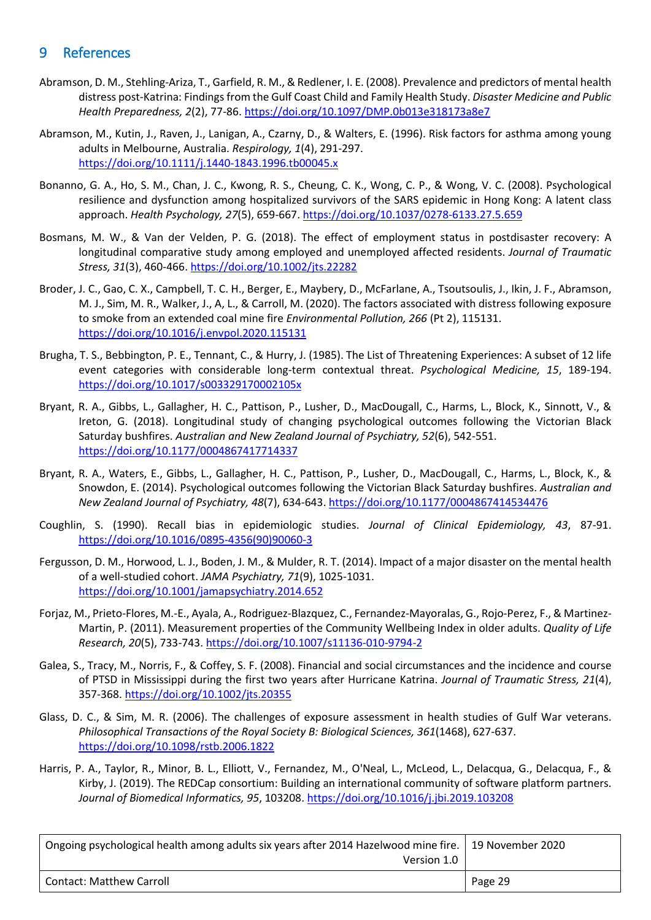### <span id="page-28-0"></span>9 References

- Abramson, D. M., Stehling-Ariza, T., Garfield, R. M., & Redlener, I. E. (2008). Prevalence and predictors of mental health distress post-Katrina: Findings from the Gulf Coast Child and Family Health Study. *Disaster Medicine and Public Health Preparedness, 2*(2), 77-86[. https://doi.org/10.1097/DMP.0b013e318173a8e7](https://doi.org/10.1097/DMP.0b013e318173a8e7)
- Abramson, M., Kutin, J., Raven, J., Lanigan, A., Czarny, D., & Walters, E. (1996). Risk factors for asthma among young adults in Melbourne, Australia. *Respirology, 1*(4), 291-297. <https://doi.org/10.1111/j.1440-1843.1996.tb00045.x>
- Bonanno, G. A., Ho, S. M., Chan, J. C., Kwong, R. S., Cheung, C. K., Wong, C. P., & Wong, V. C. (2008). Psychological resilience and dysfunction among hospitalized survivors of the SARS epidemic in Hong Kong: A latent class approach. *Health Psychology, 27*(5), 659-667.<https://doi.org/10.1037/0278-6133.27.5.659>
- Bosmans, M. W., & Van der Velden, P. G. (2018). The effect of employment status in postdisaster recovery: A longitudinal comparative study among employed and unemployed affected residents. *Journal of Traumatic Stress, 31*(3), 460-466.<https://doi.org/10.1002/jts.22282>
- Broder, J. C., Gao, C. X., Campbell, T. C. H., Berger, E., Maybery, D., McFarlane, A., Tsoutsoulis, J., Ikin, J. F., Abramson, M. J., Sim, M. R., Walker, J., A, L., & Carroll, M. (2020). The factors associated with distress following exposure to smoke from an extended coal mine fire *Environmental Pollution, 266* (Pt 2), 115131. <https://doi.org/10.1016/j.envpol.2020.115131>
- Brugha, T. S., Bebbington, P. E., Tennant, C., & Hurry, J. (1985). The List of Threatening Experiences: A subset of 12 life event categories with considerable long-term contextual threat. *Psychological Medicine, 15*, 189-194. <https://doi.org/10.1017/s003329170002105x>
- Bryant, R. A., Gibbs, L., Gallagher, H. C., Pattison, P., Lusher, D., MacDougall, C., Harms, L., Block, K., Sinnott, V., & Ireton, G. (2018). Longitudinal study of changing psychological outcomes following the Victorian Black Saturday bushfires. *Australian and New Zealand Journal of Psychiatry, 52*(6), 542-551. <https://doi.org/10.1177/0004867417714337>
- Bryant, R. A., Waters, E., Gibbs, L., Gallagher, H. C., Pattison, P., Lusher, D., MacDougall, C., Harms, L., Block, K., & Snowdon, E. (2014). Psychological outcomes following the Victorian Black Saturday bushfires. *Australian and New Zealand Journal of Psychiatry, 48*(7), 634-643[. https://doi.org/10.1177/0004867414534476](https://doi.org/10.1177/0004867414534476)
- Coughlin, S. (1990). Recall bias in epidemiologic studies. *Journal of Clinical Epidemiology, 43*, 87-91. [https://doi.org/10.1016/0895-4356\(90\)90060-3](https://doi.org/10.1016/0895-4356(90)90060-3)
- Fergusson, D. M., Horwood, L. J., Boden, J. M., & Mulder, R. T. (2014). Impact of a major disaster on the mental health of a well-studied cohort. *JAMA Psychiatry, 71*(9), 1025-1031. <https://doi.org/10.1001/jamapsychiatry.2014.652>
- Forjaz, M., Prieto-Flores, M.-E., Ayala, A., Rodriguez-Blazquez, C., Fernandez-Mayoralas, G., Rojo-Perez, F., & Martinez-Martin, P. (2011). Measurement properties of the Community Wellbeing Index in older adults. *Quality of Life Research, 20*(5), 733-743[. https://doi.org/10.1007/s11136-010-9794-2](https://doi.org/10.1007/s11136-010-9794-2)
- Galea, S., Tracy, M., Norris, F., & Coffey, S. F. (2008). Financial and social circumstances and the incidence and course of PTSD in Mississippi during the first two years after Hurricane Katrina. *Journal of Traumatic Stress, 21*(4), 357-368.<https://doi.org/10.1002/jts.20355>
- Glass, D. C., & Sim, M. R. (2006). The challenges of exposure assessment in health studies of Gulf War veterans. *Philosophical Transactions of the Royal Society B: Biological Sciences, 361*(1468), 627-637. <https://doi.org/10.1098/rstb.2006.1822>
- Harris, P. A., Taylor, R., Minor, B. L., Elliott, V., Fernandez, M., O'Neal, L., McLeod, L., Delacqua, G., Delacqua, F., & Kirby, J. (2019). The REDCap consortium: Building an international community of software platform partners. *Journal of Biomedical Informatics, 95*, 103208.<https://doi.org/10.1016/j.jbi.2019.103208>

| Ongoing psychological health among adults six years after 2014 Hazelwood mine fire. 19 November 2020<br>Version 1.0 |         |
|---------------------------------------------------------------------------------------------------------------------|---------|
| Contact: Matthew Carroll                                                                                            | Page 29 |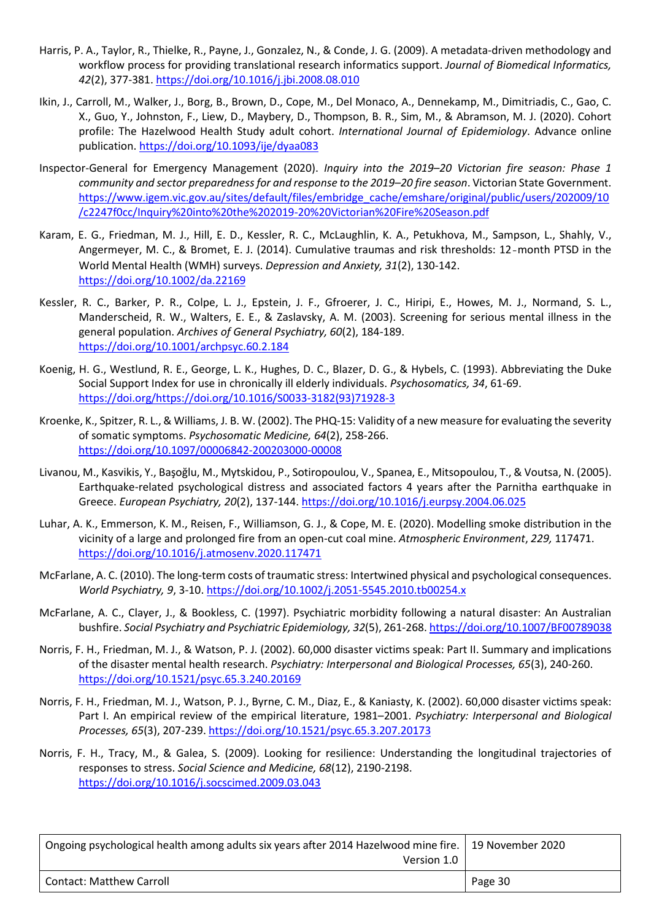- Harris, P. A., Taylor, R., Thielke, R., Payne, J., Gonzalez, N., & Conde, J. G. (2009). A metadata-driven methodology and workflow process for providing translational research informatics support. *Journal of Biomedical Informatics, 42*(2), 377-381[. https://doi.org/10.1016/j.jbi.2008.08.010](https://doi.org/10.1016/j.jbi.2008.08.010)
- Ikin, J., Carroll, M., Walker, J., Borg, B., Brown, D., Cope, M., Del Monaco, A., Dennekamp, M., Dimitriadis, C., Gao, C. X., Guo, Y., Johnston, F., Liew, D., Maybery, D., Thompson, B. R., Sim, M., & Abramson, M. J. (2020). Cohort profile: The Hazelwood Health Study adult cohort. *International Journal of Epidemiology*. Advance online publication. <https://doi.org/10.1093/ije/dyaa083>
- Inspector-General for Emergency Management (2020). *Inquiry into the 2019–20 Victorian fire season: Phase 1 community and sector preparedness for and response to the 2019–20 fire season*. Victorian State Government. [https://www.igem.vic.gov.au/sites/default/files/embridge\\_cache/emshare/original/public/users/202009/10](https://www.igem.vic.gov.au/sites/default/files/embridge_cache/emshare/original/public/users/202009/10/c2247f0cc/Inquiry%20into%20the%202019-20%20Victorian%20Fire%20Season.pdf) [/c2247f0cc/Inquiry%20into%20the%202019-20%20Victorian%20Fire%20Season.pdf](https://www.igem.vic.gov.au/sites/default/files/embridge_cache/emshare/original/public/users/202009/10/c2247f0cc/Inquiry%20into%20the%202019-20%20Victorian%20Fire%20Season.pdf)
- Karam, E. G., Friedman, M. J., Hill, E. D., Kessler, R. C., McLaughlin, K. A., Petukhova, M., Sampson, L., Shahly, V., Angermeyer, M. C., & Bromet, E. J. (2014). Cumulative traumas and risk thresholds: 12‐month PTSD in the World Mental Health (WMH) surveys. *Depression and Anxiety, 31*(2), 130-142. <https://doi.org/10.1002/da.22169>
- Kessler, R. C., Barker, P. R., Colpe, L. J., Epstein, J. F., Gfroerer, J. C., Hiripi, E., Howes, M. J., Normand, S. L., Manderscheid, R. W., Walters, E. E., & Zaslavsky, A. M. (2003). Screening for serious mental illness in the general population. *Archives of General Psychiatry, 60*(2), 184-189. <https://doi.org/10.1001/archpsyc.60.2.184>
- Koenig, H. G., Westlund, R. E., George, L. K., Hughes, D. C., Blazer, D. G., & Hybels, C. (1993). Abbreviating the Duke Social Support Index for use in chronically ill elderly individuals. *Psychosomatics, 34*, 61-69. [https://doi.org/https://doi.org/10.1016/S0033-3182\(93\)71928-3](https://doi.org/https:/doi.org/10.1016/S0033-3182(93)71928-3)
- Kroenke, K., Spitzer, R. L., & Williams, J. B. W. (2002). The PHQ-15: Validity of a new measure for evaluating the severity of somatic symptoms. *Psychosomatic Medicine, 64*(2), 258-266. <https://doi.org/10.1097/00006842-200203000-00008>
- Livanou, M., Kasvikis, Y., Başoğlu, M., Mytskidou, P., Sotiropoulou, V., Spanea, E., Mitsopoulou, T., & Voutsa, N. (2005). Earthquake-related psychological distress and associated factors 4 years after the Parnitha earthquake in Greece. *European Psychiatry, 20*(2), 137-144.<https://doi.org/10.1016/j.eurpsy.2004.06.025>
- Luhar, A. K., Emmerson, K. M., Reisen, F., Williamson, G. J., & Cope, M. E. (2020). Modelling smoke distribution in the vicinity of a large and prolonged fire from an open-cut coal mine. *Atmospheric Environment*, *229,* 117471. <https://doi.org/10.1016/j.atmosenv.2020.117471>
- McFarlane, A. C. (2010). The long-term costs of traumatic stress: Intertwined physical and psychological consequences. *World Psychiatry, 9*, 3-10.<https://doi.org/10.1002/j.2051-5545.2010.tb00254.x>
- McFarlane, A. C., Clayer, J., & Bookless, C. (1997). Psychiatric morbidity following a natural disaster: An Australian bushfire. *Social Psychiatry and Psychiatric Epidemiology, 32*(5), 261-268[. https://doi.org/10.1007/BF00789038](https://doi.org/10.1007/BF00789038)
- Norris, F. H., Friedman, M. J., & Watson, P. J. (2002). 60,000 disaster victims speak: Part II. Summary and implications of the disaster mental health research. *Psychiatry: Interpersonal and Biological Processes, 65*(3), 240-260. <https://doi.org/10.1521/psyc.65.3.240.20169>
- Norris, F. H., Friedman, M. J., Watson, P. J., Byrne, C. M., Diaz, E., & Kaniasty, K. (2002). 60,000 disaster victims speak: Part I. An empirical review of the empirical literature, 1981–2001. *Psychiatry: Interpersonal and Biological Processes, 65*(3), 207-239.<https://doi.org/10.1521/psyc.65.3.207.20173>
- Norris, F. H., Tracy, M., & Galea, S. (2009). Looking for resilience: Understanding the longitudinal trajectories of responses to stress. *Social Science and Medicine, 68*(12), 2190-2198. <https://doi.org/10.1016/j.socscimed.2009.03.043>

| Ongoing psychological health among adults six years after 2014 Hazelwood mine fire.   19 November 2020 |         |
|--------------------------------------------------------------------------------------------------------|---------|
| Version 1.0                                                                                            |         |
| <b>Contact: Matthew Carroll</b>                                                                        | Page 30 |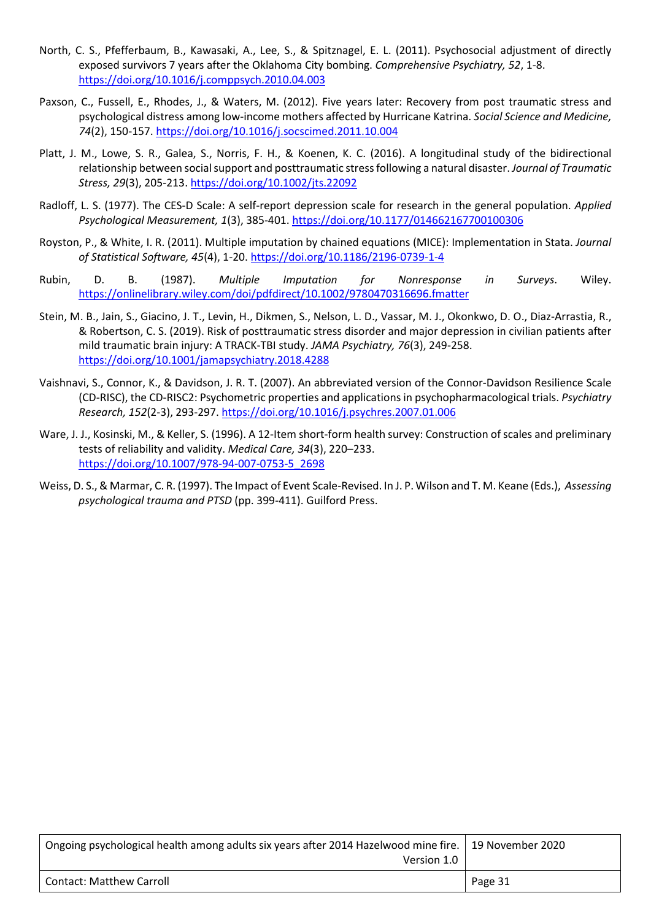- North, C. S., Pfefferbaum, B., Kawasaki, A., Lee, S., & Spitznagel, E. L. (2011). Psychosocial adjustment of directly exposed survivors 7 years after the Oklahoma City bombing. *Comprehensive Psychiatry, 52*, 1-8. <https://doi.org/10.1016/j.comppsych.2010.04.003>
- Paxson, C., Fussell, E., Rhodes, J., & Waters, M. (2012). Five years later: Recovery from post traumatic stress and psychological distress among low-income mothers affected by Hurricane Katrina. *Social Science and Medicine, 74*(2), 150-157[. https://doi.org/10.1016/j.socscimed.2011.10.004](https://doi.org/10.1016/j.socscimed.2011.10.004)
- Platt, J. M., Lowe, S. R., Galea, S., Norris, F. H., & Koenen, K. C. (2016). A longitudinal study of the bidirectional relationship between social support and posttraumatic stress following a natural disaster. *Journal of Traumatic Stress, 29*(3), 205-213.<https://doi.org/10.1002/jts.22092>
- Radloff, L. S. (1977). The CES-D Scale: A self-report depression scale for research in the general population. *Applied Psychological Measurement, 1*(3), 385-401.<https://doi.org/10.1177/014662167700100306>
- Royston, P., & White, I. R. (2011). Multiple imputation by chained equations (MICE): Implementation in Stata. *Journal of Statistical Software, 45*(4), 1-20.<https://doi.org/10.1186/2196-0739-1-4>
- Rubin, D. B. (1987). *Multiple Imputation for Nonresponse in Surveys*. Wiley. <https://onlinelibrary.wiley.com/doi/pdfdirect/10.1002/9780470316696.fmatter>
- Stein, M. B., Jain, S., Giacino, J. T., Levin, H., Dikmen, S., Nelson, L. D., Vassar, M. J., Okonkwo, D. O., Diaz-Arrastia, R., & Robertson, C. S. (2019). Risk of posttraumatic stress disorder and major depression in civilian patients after mild traumatic brain injury: A TRACK-TBI study. *JAMA Psychiatry, 76*(3), 249-258. <https://doi.org/10.1001/jamapsychiatry.2018.4288>
- Vaishnavi, S., Connor, K., & Davidson, J. R. T. (2007). An abbreviated version of the Connor-Davidson Resilience Scale (CD-RISC), the CD-RISC2: Psychometric properties and applications in psychopharmacological trials. *Psychiatry Research, 152*(2-3), 293-297.<https://doi.org/10.1016/j.psychres.2007.01.006>
- Ware, J. J., Kosinski, M., & Keller, S. (1996). A 12-Item short-form health survey: Construction of scales and preliminary tests of reliability and validity. *Medical Care, 34*(3), 220–233. [https://doi.org/10.1007/978-94-007-0753-5\\_2698](https://doi.org/10.1007/978-94-007-0753-5_2698)
- Weiss, D. S., & Marmar, C. R. (1997). The Impact of Event Scale-Revised. In J. P. Wilson and T. M. Keane (Eds.), *Assessing psychological trauma and PTSD* (pp. 399-411). Guilford Press.

| Ongoing psychological health among adults six years after 2014 Hazelwood mine fire. 19 November 2020<br>Version 1.0 |         |
|---------------------------------------------------------------------------------------------------------------------|---------|
| <b>Contact: Matthew Carroll</b>                                                                                     | Page 31 |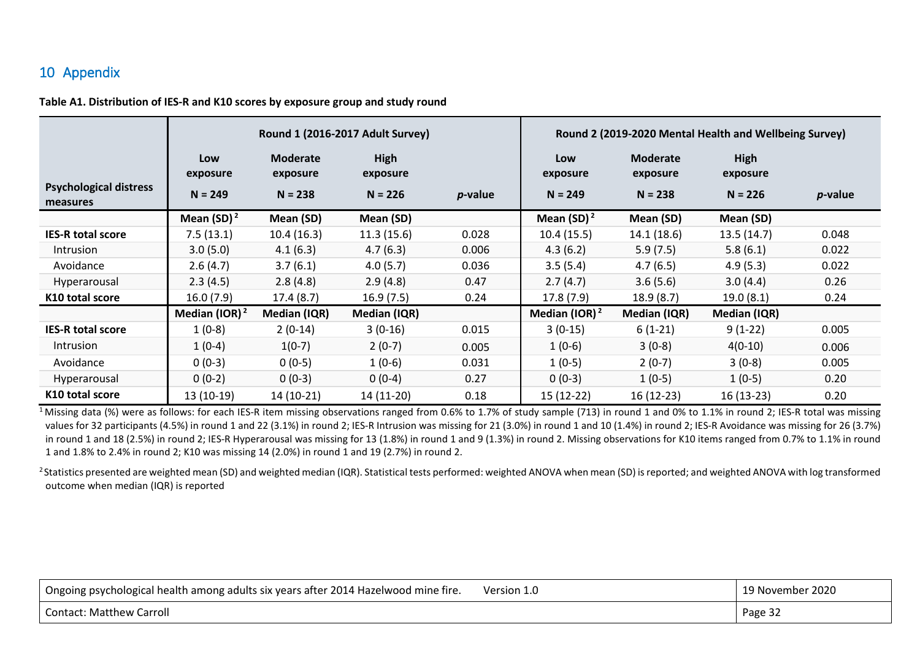# 10 Appendix

#### **Table A1. Distribution of IES-R and K10 scores by exposure group and study round**

|                                           |                  |                             | Round 1 (2016-2017 Adult Survey) |            |                  |                             | Round 2 (2019-2020 Mental Health and Wellbeing Survey) |                 |
|-------------------------------------------|------------------|-----------------------------|----------------------------------|------------|------------------|-----------------------------|--------------------------------------------------------|-----------------|
|                                           | Low<br>exposure  | <b>Moderate</b><br>exposure | <b>High</b><br>exposure          |            | Low<br>exposure  | <b>Moderate</b><br>exposure | High<br>exposure                                       |                 |
| <b>Psychological distress</b><br>measures | $N = 249$        | $N = 238$                   | $N = 226$                        | $p$ -value | $N = 249$        | $N = 238$                   | $N = 226$                                              | <i>p</i> -value |
|                                           | Mean $(SD)^2$    | Mean (SD)                   | Mean (SD)                        |            | Mean $(SD)^2$    | Mean (SD)                   | Mean (SD)                                              |                 |
| <b>IES-R total score</b>                  | 7.5(13.1)        | 10.4(16.3)                  | 11.3(15.6)                       | 0.028      | 10.4 (15.5)      | 14.1 (18.6)                 | 13.5(14.7)                                             | 0.048           |
| <b>Intrusion</b>                          | 3.0(5.0)         | 4.1(6.3)                    | 4.7(6.3)                         | 0.006      | 4.3(6.2)         | 5.9(7.5)                    | 5.8(6.1)                                               | 0.022           |
| Avoidance                                 | 2.6(4.7)         | 3.7(6.1)                    | 4.0(5.7)                         | 0.036      | 3.5(5.4)         | 4.7(6.5)                    | 4.9(5.3)                                               | 0.022           |
| Hyperarousal                              | 2.3(4.5)         | 2.8(4.8)                    | 2.9(4.8)                         | 0.47       | 2.7(4.7)         | 3.6(5.6)                    | 3.0(4.4)                                               | 0.26            |
| K10 total score                           | 16.0(7.9)        | 17.4(8.7)                   | 16.9(7.5)                        | 0.24       | 17.8(7.9)        | 18.9(8.7)                   | 19.0(8.1)                                              | 0.24            |
|                                           | Median (IOR) $2$ | Median (IQR)                | Median (IQR)                     |            | Median (IOR) $2$ | Median (IQR)                | Median (IQR)                                           |                 |
| <b>IES-R total score</b>                  | $1(0-8)$         | $2(0-14)$                   | $3(0-16)$                        | 0.015      | $3(0-15)$        | $6(1-21)$                   | $9(1-22)$                                              | 0.005           |
| Intrusion                                 | $1(0-4)$         | $1(0-7)$                    | $2(0-7)$                         | 0.005      | $1(0-6)$         | $3(0-8)$                    | $4(0-10)$                                              | 0.006           |
| Avoidance                                 | $0(0-3)$         | $0(0-5)$                    | $1(0-6)$                         | 0.031      | $1(0-5)$         | $2(0-7)$                    | $3(0-8)$                                               | 0.005           |
| Hyperarousal                              | $0(0-2)$         | $0(0-3)$                    | $0(0-4)$                         | 0.27       | $0(0-3)$         | $1(0-5)$                    | $1(0-5)$                                               | 0.20            |
| K10 total score                           | $13(10-19)$      | 14 (10-21)                  | 14 (11-20)                       | 0.18       | $15(12-22)$      | $16(12-23)$                 | $16(13-23)$                                            | 0.20            |

<span id="page-31-1"></span><span id="page-31-0"></span><sup>1</sup> Missing data (%) were as follows: for each IES-R item missing observations ranged from 0.6% to 1.7% of study sample (713) in round 1 and 0% to 1.1% in round 2; IES-R total was missing values for 32 participants (4.5%) in round 1 and 22 (3.1%) in round 2; IES-R Intrusion was missing for 21 (3.0%) in round 1 and 10 (1.4%) in round 2; IES-R Avoidance was missing for 26 (3.7%) in round 1 and 18 (2.5%) in round 2; IES-R Hyperarousal was missing for 13 (1.8%) in round 1 and 9 (1.3%) in round 2. Missing observations for K10 items ranged from 0.7% to 1.1% in round 1 and 1.8% to 2.4% in round 2; K10 was missing 14 (2.0%) in round 1 and 19 (2.7%) in round 2.

<sup>2</sup> Statistics presented are weighted mean (SD) and weighted median (IQR). Statistical tests performed: weighted ANOVA when mean (SD) is reported; and weighted ANOVA with log transformed outcome when median (IQR) is reported

| <sup>1</sup> Ongoing psychological health among adults six years after 2014 Hazelwood mine fire. | .2020                    |
|--------------------------------------------------------------------------------------------------|--------------------------|
| Version 1.0                                                                                      | 19 November              |
| <b>Contact: Matthew Carroll</b>                                                                  | $\sim$<br>Page $3\angle$ |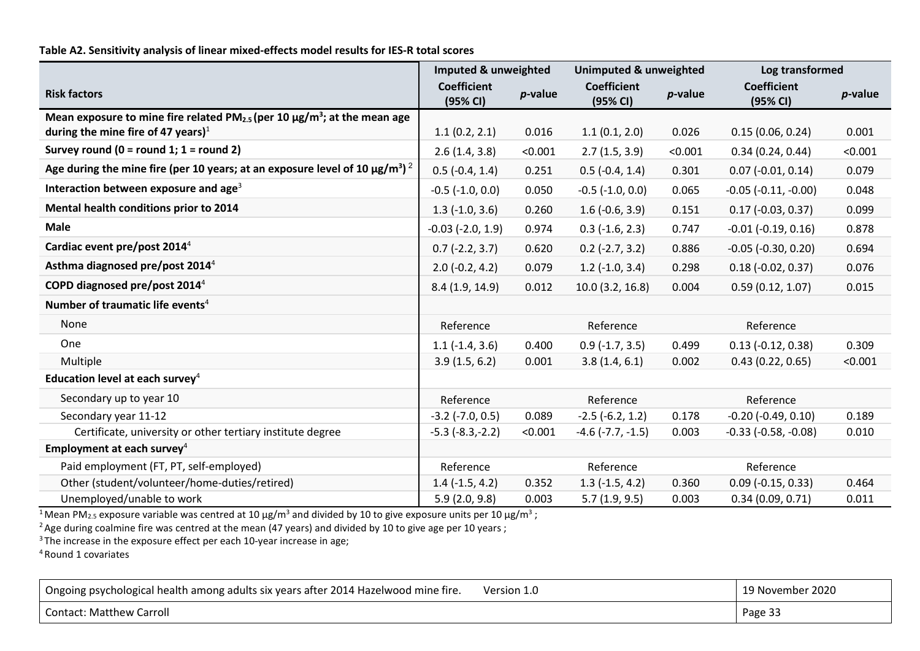**Table A2. Sensitivity analysis of linear mixed-effects model results for IES-R total scores**

|                                                                                                          | Imputed & unweighted           |         | <b>Unimputed &amp; unweighted</b> |            | Log transformed                |            |
|----------------------------------------------------------------------------------------------------------|--------------------------------|---------|-----------------------------------|------------|--------------------------------|------------|
| <b>Risk factors</b>                                                                                      | <b>Coefficient</b><br>(95% CI) | p-value | <b>Coefficient</b><br>(95% CI)    | $p$ -value | <b>Coefficient</b><br>(95% CI) | $p$ -value |
| Mean exposure to mine fire related PM <sub>2.5</sub> (per 10 $\mu$ g/m <sup>3</sup> ; at the mean age    |                                |         |                                   |            |                                |            |
| during the mine fire of 47 years) $1$                                                                    | 1.1(0.2, 2.1)                  | 0.016   | 1.1(0.1, 2.0)                     | 0.026      | 0.15(0.06, 0.24)               | 0.001      |
| Survey round $(0 = round 1; 1 = round 2)$                                                                | 2.6(1.4, 3.8)                  | < 0.001 | 2.7(1.5, 3.9)                     | < 0.001    | 0.34(0.24, 0.44)               | < 0.001    |
| Age during the mine fire (per 10 years; at an exposure level of 10 $\mu$ g/m <sup>3</sup> ) <sup>2</sup> | $0.5$ (-0.4, 1.4)              | 0.251   | $0.5$ (-0.4, 1.4)                 | 0.301      | $0.07$ (-0.01, 0.14)           | 0.079      |
| Interaction between exposure and age <sup>3</sup>                                                        | $-0.5$ $(-1.0, 0.0)$           | 0.050   | $-0.5$ $(-1.0, 0.0)$              | 0.065      | $-0.05$ $(-0.11, -0.00)$       | 0.048      |
| Mental health conditions prior to 2014                                                                   | $1.3$ (-1.0, 3.6)              | 0.260   | $1.6$ (-0.6, 3.9)                 | 0.151      | $0.17$ (-0.03, 0.37)           | 0.099      |
| <b>Male</b>                                                                                              | $-0.03$ $(-2.0, 1.9)$          | 0.974   | $0.3$ (-1.6, 2.3)                 | 0.747      | $-0.01$ $(-0.19, 0.16)$        | 0.878      |
| Cardiac event pre/post 2014 <sup>4</sup>                                                                 | $0.7$ (-2.2, 3.7)              | 0.620   | $0.2$ (-2.7, 3.2)                 | 0.886      | $-0.05$ $(-0.30, 0.20)$        | 0.694      |
| Asthma diagnosed pre/post 2014 <sup>4</sup>                                                              | $2.0$ (-0.2, 4.2)              | 0.079   | $1.2$ (-1.0, 3.4)                 | 0.298      | $0.18(-0.02, 0.37)$            | 0.076      |
| COPD diagnosed pre/post 2014 <sup>4</sup>                                                                | 8.4(1.9, 14.9)                 | 0.012   | $10.0$ (3.2, 16.8)                | 0.004      | 0.59(0.12, 1.07)               | 0.015      |
| Number of traumatic life events <sup>4</sup>                                                             |                                |         |                                   |            |                                |            |
| None                                                                                                     | Reference                      |         | Reference                         |            | Reference                      |            |
| One                                                                                                      | $1.1$ ( $-1.4$ , $3.6$ )       | 0.400   | $0.9$ (-1.7, 3.5)                 | 0.499      | $0.13$ (-0.12, 0.38)           | 0.309      |
| Multiple                                                                                                 | 3.9(1.5, 6.2)                  | 0.001   | 3.8(1.4, 6.1)                     | 0.002      | 0.43(0.22, 0.65)               | < 0.001    |
| Education level at each survey $4$                                                                       |                                |         |                                   |            |                                |            |
| Secondary up to year 10                                                                                  | Reference                      |         | Reference                         |            | Reference                      |            |
| Secondary year 11-12                                                                                     | $-3.2$ ( $-7.0$ , 0.5)         | 0.089   | $-2.5$ $(-6.2, 1.2)$              | 0.178      | $-0.20$ $(-0.49, 0.10)$        | 0.189      |
| Certificate, university or other tertiary institute degree                                               | $-5.3$ $(-8.3,-2.2)$           | < 0.001 | $-4.6$ ( $-7.7$ , $-1.5$ )        | 0.003      | $-0.33$ $(-0.58, -0.08)$       | 0.010      |
| Employment at each survey <sup>4</sup>                                                                   |                                |         |                                   |            |                                |            |
| Paid employment (FT, PT, self-employed)                                                                  | Reference                      |         | Reference                         |            | Reference                      |            |
| Other (student/volunteer/home-duties/retired)                                                            | $1.4$ ( $-1.5$ , $4.2$ )       | 0.352   | $1.3$ (-1.5, 4.2)                 | 0.360      | $0.09$ (-0.15, 0.33)           | 0.464      |
| Unemployed/unable to work                                                                                | 5.9(2.0, 9.8)                  | 0.003   | 5.7(1.9, 9.5)                     | 0.003      | 0.34(0.09, 0.71)               | 0.011      |

<span id="page-32-0"></span><sup>1</sup> Mean PM<sub>2.5</sub> exposure variable was centred at 10  $\mu$ g/m<sup>3</sup> and divided by 10 to give exposure units per 10  $\mu$ g/m<sup>3</sup>; <sup>2</sup> Age during coalmine fire was centred at the mean (47 years) and divided by 10 to give age per

 $3$  The increase in the exposure effect per each 10-year increase in age;<br> $4$  Round 1 covariates

| <sup>1</sup> Ongoing psychological health among adults six years after 2014 Hazelwood mine fire.<br>Version 1.0 | 19 November 2020 |
|-----------------------------------------------------------------------------------------------------------------|------------------|
| Contact: Matthew Carroll                                                                                        | Page 3           |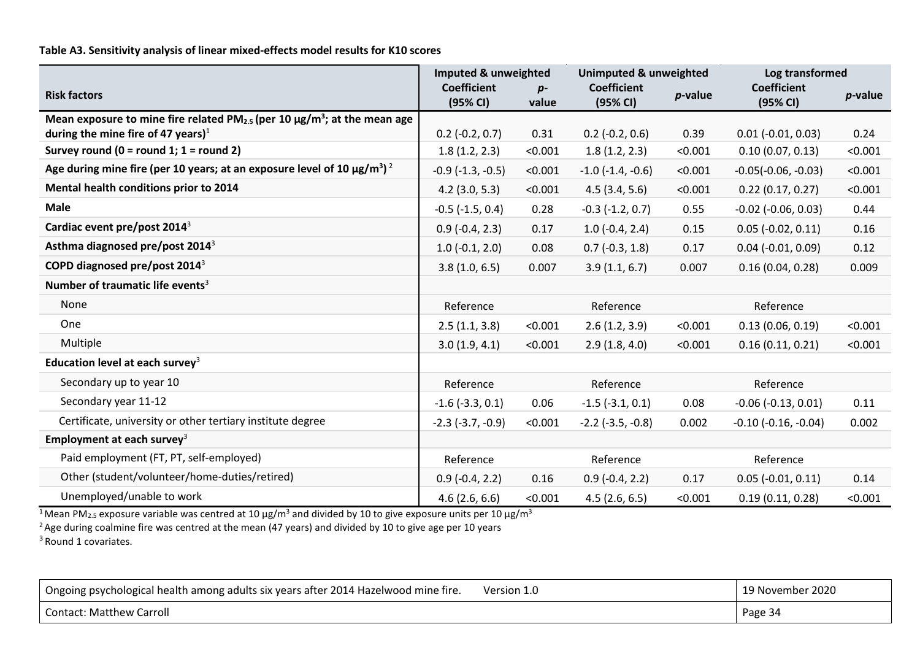### **Table A3. Sensitivity analysis of linear mixed-effects model results for K10 scores**

|                                                                                                       | Imputed & unweighted           |               | <b>Unimputed &amp; unweighted</b> |         | Log transformed                |            |
|-------------------------------------------------------------------------------------------------------|--------------------------------|---------------|-----------------------------------|---------|--------------------------------|------------|
| <b>Risk factors</b>                                                                                   | <b>Coefficient</b><br>(95% CI) | $p-$<br>value | <b>Coefficient</b><br>(95% CI)    | p-value | <b>Coefficient</b><br>(95% CI) | $p$ -value |
| Mean exposure to mine fire related PM <sub>2.5</sub> (per 10 $\mu$ g/m <sup>3</sup> ; at the mean age |                                |               |                                   |         |                                |            |
| during the mine fire of 47 years) <sup>1</sup>                                                        | $0.2$ (-0.2, 0.7)              | 0.31          | $0.2$ (-0.2, 0.6)                 | 0.39    | $0.01$ ( $-0.01$ , $0.03$ )    | 0.24       |
| Survey round $(0 = round 1; 1 = round 2)$                                                             | 1.8(1.2, 2.3)                  | < 0.001       | 1.8(1.2, 2.3)                     | < 0.001 | 0.10(0.07, 0.13)               | < 0.001    |
| Age during mine fire (per 10 years; at an exposure level of 10 $\mu$ g/m <sup>3</sup> ) <sup>2</sup>  | $-0.9$ $(-1.3, -0.5)$          | < 0.001       | $-1.0$ $(-1.4, -0.6)$             | < 0.001 | $-0.05(-0.06, -0.03)$          | < 0.001    |
| Mental health conditions prior to 2014                                                                | $4.2$ (3.0, 5.3)               | < 0.001       | 4.5(3.4, 5.6)                     | < 0.001 | 0.22(0.17, 0.27)               | < 0.001    |
| <b>Male</b>                                                                                           | $-0.5$ $(-1.5, 0.4)$           | 0.28          | $-0.3$ $(-1.2, 0.7)$              | 0.55    | $-0.02$ $(-0.06, 0.03)$        | 0.44       |
| Cardiac event pre/post 2014 <sup>3</sup>                                                              | $0.9$ (-0.4, 2.3)              | 0.17          | $1.0$ (-0.4, 2.4)                 | 0.15    | $0.05$ (-0.02, 0.11)           | 0.16       |
| Asthma diagnosed pre/post 2014 <sup>3</sup>                                                           | $1.0$ (-0.1, 2.0)              | 0.08          | $0.7$ (-0.3, 1.8)                 | 0.17    | $0.04$ (-0.01, 0.09)           | 0.12       |
| COPD diagnosed pre/post 2014 <sup>3</sup>                                                             | 3.8(1.0, 6.5)                  | 0.007         | 3.9(1.1, 6.7)                     | 0.007   | 0.16(0.04, 0.28)               | 0.009      |
| Number of traumatic life events <sup>3</sup>                                                          |                                |               |                                   |         |                                |            |
| None                                                                                                  | Reference                      |               | Reference                         |         | Reference                      |            |
| One                                                                                                   | 2.5(1.1, 3.8)                  | < 0.001       | 2.6(1.2, 3.9)                     | < 0.001 | 0.13(0.06, 0.19)               | < 0.001    |
| Multiple                                                                                              | 3.0(1.9, 4.1)                  | < 0.001       | 2.9(1.8, 4.0)                     | < 0.001 | 0.16(0.11, 0.21)               | < 0.001    |
| Education level at each survey <sup>3</sup>                                                           |                                |               |                                   |         |                                |            |
| Secondary up to year 10                                                                               | Reference                      |               | Reference                         |         | Reference                      |            |
| Secondary year 11-12                                                                                  | $-1.6$ ( $-3.3$ , 0.1)         | 0.06          | $-1.5$ ( $-3.1$ , 0.1)            | 0.08    | $-0.06$ $(-0.13, 0.01)$        | 0.11       |
| Certificate, university or other tertiary institute degree                                            | $-2.3$ ( $-3.7, -0.9$ )        | < 0.001       | $-2.2$ ( $-3.5$ , $-0.8$ )        | 0.002   | $-0.10$ $(-0.16, -0.04)$       | 0.002      |
| Employment at each survey <sup>3</sup>                                                                |                                |               |                                   |         |                                |            |
| Paid employment (FT, PT, self-employed)                                                               | Reference                      |               | Reference                         |         | Reference                      |            |
| Other (student/volunteer/home-duties/retired)                                                         | $0.9$ (-0.4, 2.2)              | 0.16          | $0.9$ (-0.4, 2.2)                 | 0.17    | $0.05$ ( $-0.01$ , $0.11$ )    | 0.14       |
| Unemployed/unable to work                                                                             | 4.6(2.6, 6.6)                  | < 0.001       | 4.5(2.6, 6.5)                     | < 0.001 | 0.19(0.11, 0.28)               | < 0.001    |

<span id="page-33-0"></span> $^1$ Mean PM<sub>2.5</sub> exposure variable was centred at 10 µg/m<sup>3</sup> and divided by 10 to give exposure units per 10 µg/m<sup>3</sup>

<sup>2</sup> Age during coalmine fire was centred at the mean (47 years) and divided by 10 to give age per 10 years

<sup>3</sup> Round 1 covariates.

| ' Ongoing psychological health among adults six years after 2014 Hazelwood mine fire.<br>Version 1.0 | 19 November 2020 |
|------------------------------------------------------------------------------------------------------|------------------|
| <b>Contact: Matthew Carroll</b>                                                                      | Page 34          |